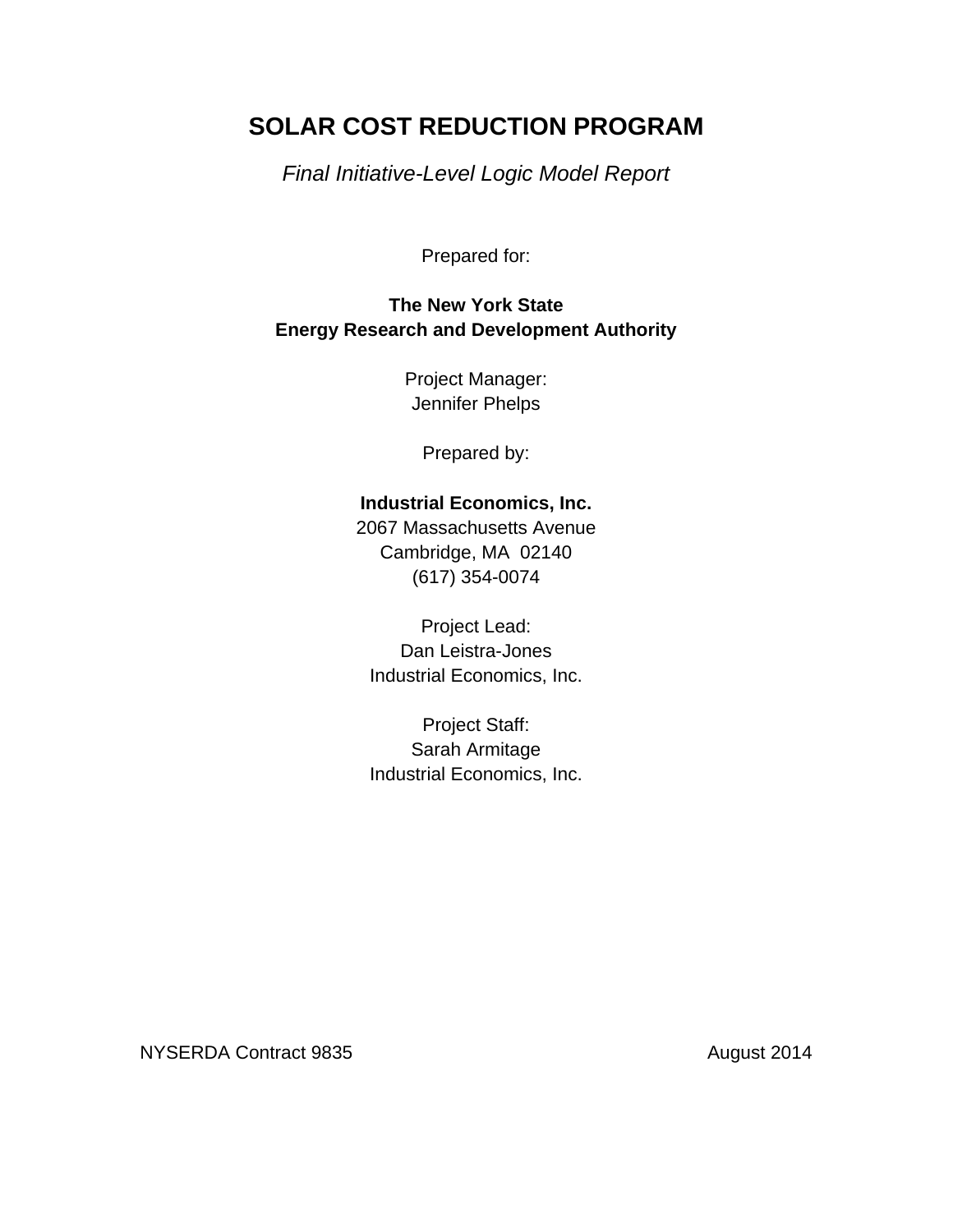# **SOLAR COST REDUCTION PROGRAM**

*Final Initiative-Level Logic Model Report* 

Prepared for:

## **The New York State Energy Research and Development Authority**

Project Manager: Jennifer Phelps

Prepared by:

## **Industrial Economics, Inc.**

2067 Massachusetts Avenue Cambridge, MA 02140 (617) 354-0074

Project Lead: Dan Leistra-Jones Industrial Economics, Inc.

Project Staff: Sarah Armitage Industrial Economics, Inc.

NYSERDA Contract 9835 August 2014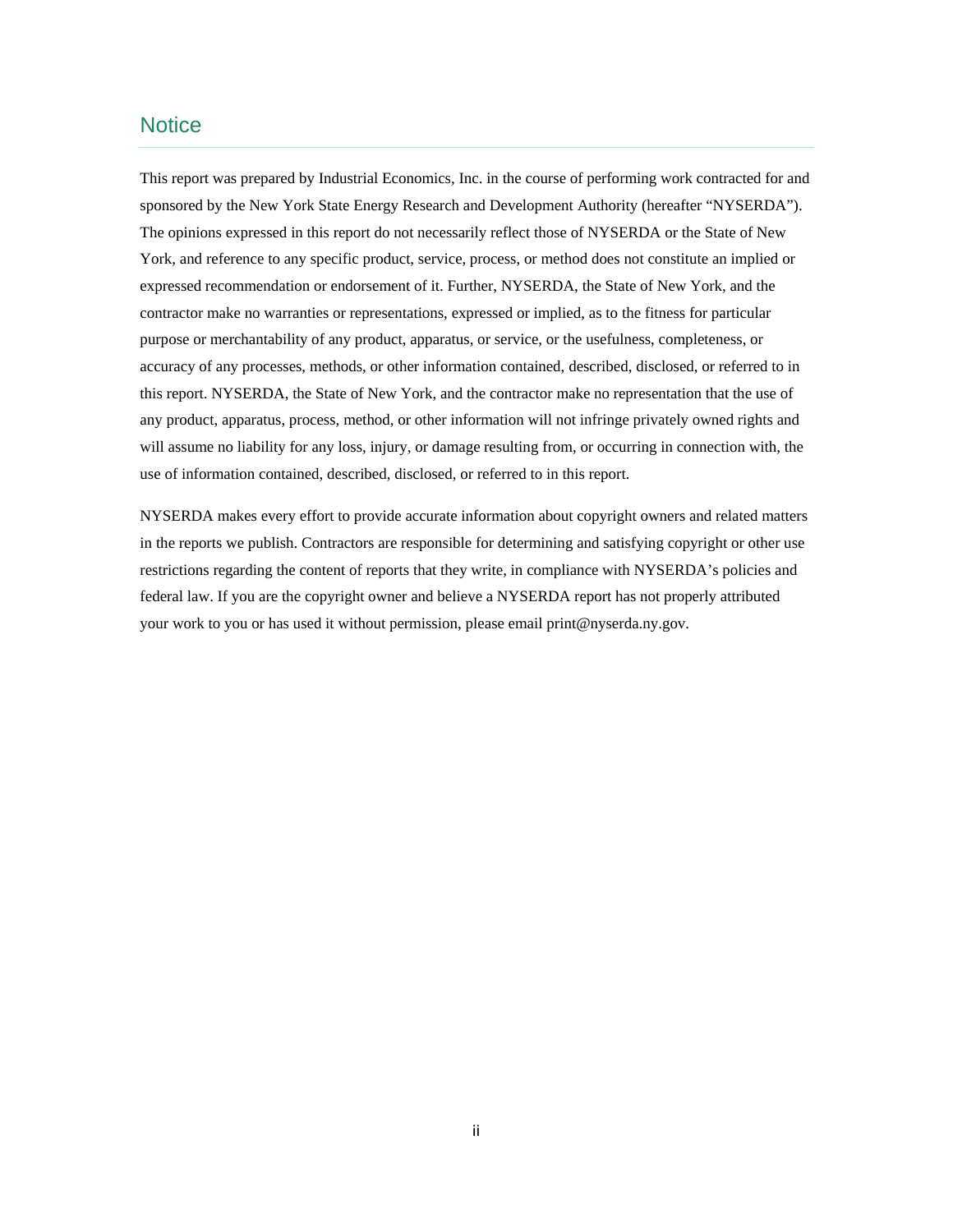### **Notice**

 This report was prepared by Industrial Economics, Inc. in the course of performing work contracted for and The opinions expressed in this report do not necessarily reflect those of NYSERDA or the State of New purpose or merchantability of any product, apparatus, or service, or the usefulness, completeness, or use of information contained, described, disclosed, or referred to in this report. sponsored by the New York State Energy Research and Development Authority (hereafter "NYSERDA"). York, and reference to any specific product, service, process, or method does not constitute an implied or expressed recommendation or endorsement of it. Further, NYSERDA, the State of New York, and the contractor make no warranties or representations, expressed or implied, as to the fitness for particular accuracy of any processes, methods, or other information contained, described, disclosed, or referred to in this report. NYSERDA, the State of New York, and the contractor make no representation that the use of any product, apparatus, process, method, or other information will not infringe privately owned rights and will assume no liability for any loss, injury, or damage resulting from, or occurring in connection with, the

 your work to you or has used it without permission, please email print@nyserda.ny.gov. NYSERDA makes every effort to provide accurate information about copyright owners and related matters in the reports we publish. Contractors are responsible for determining and satisfying copyright or other use restrictions regarding the content of reports that they write, in compliance with NYSERDA's policies and federal law. If you are the copyright owner and believe a NYSERDA report has not properly attributed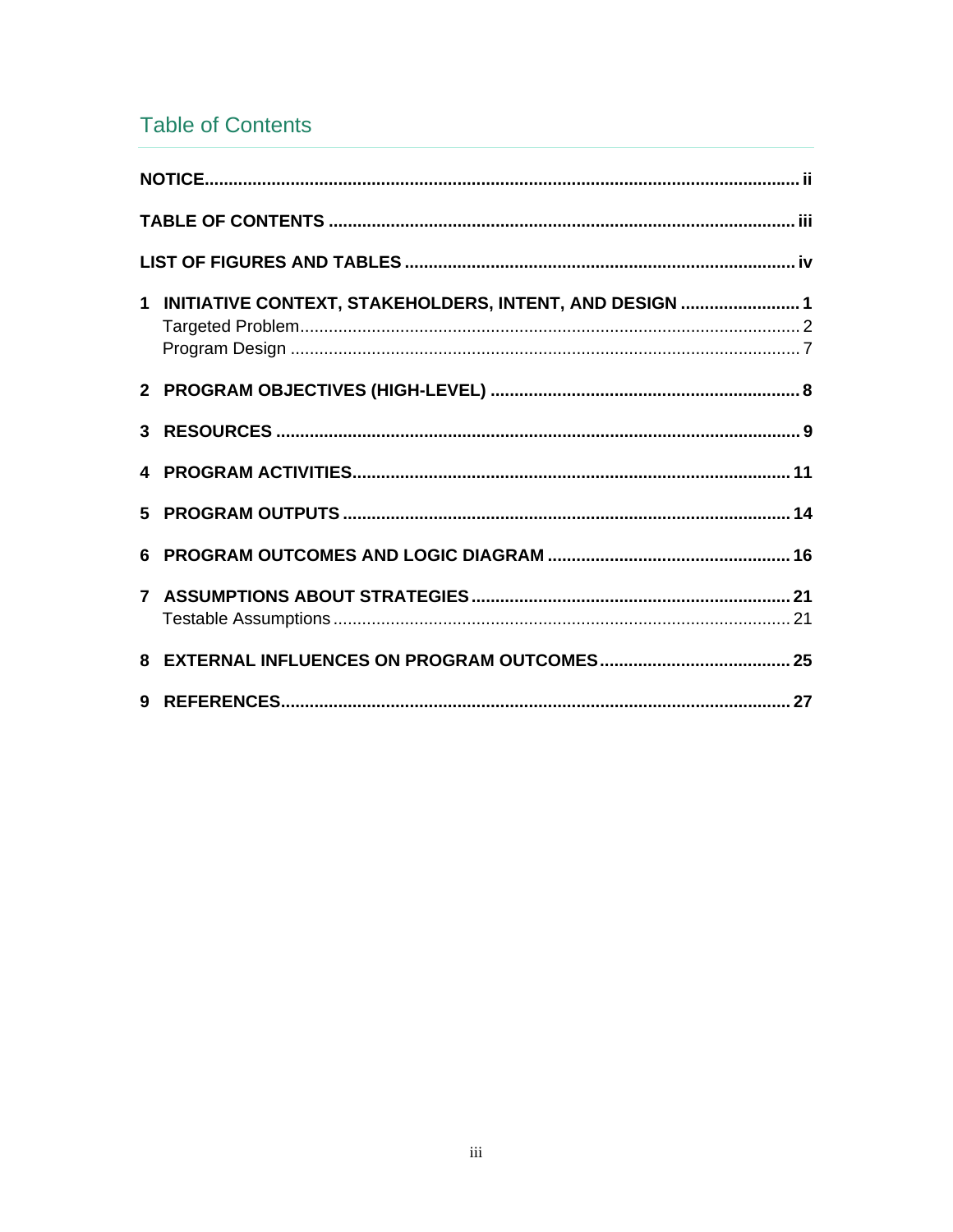# **Table of Contents**

| 1 INITIATIVE CONTEXT, STAKEHOLDERS, INTENT, AND DESIGN 1 |  |
|----------------------------------------------------------|--|
|                                                          |  |
|                                                          |  |
|                                                          |  |
|                                                          |  |
|                                                          |  |
|                                                          |  |
|                                                          |  |
|                                                          |  |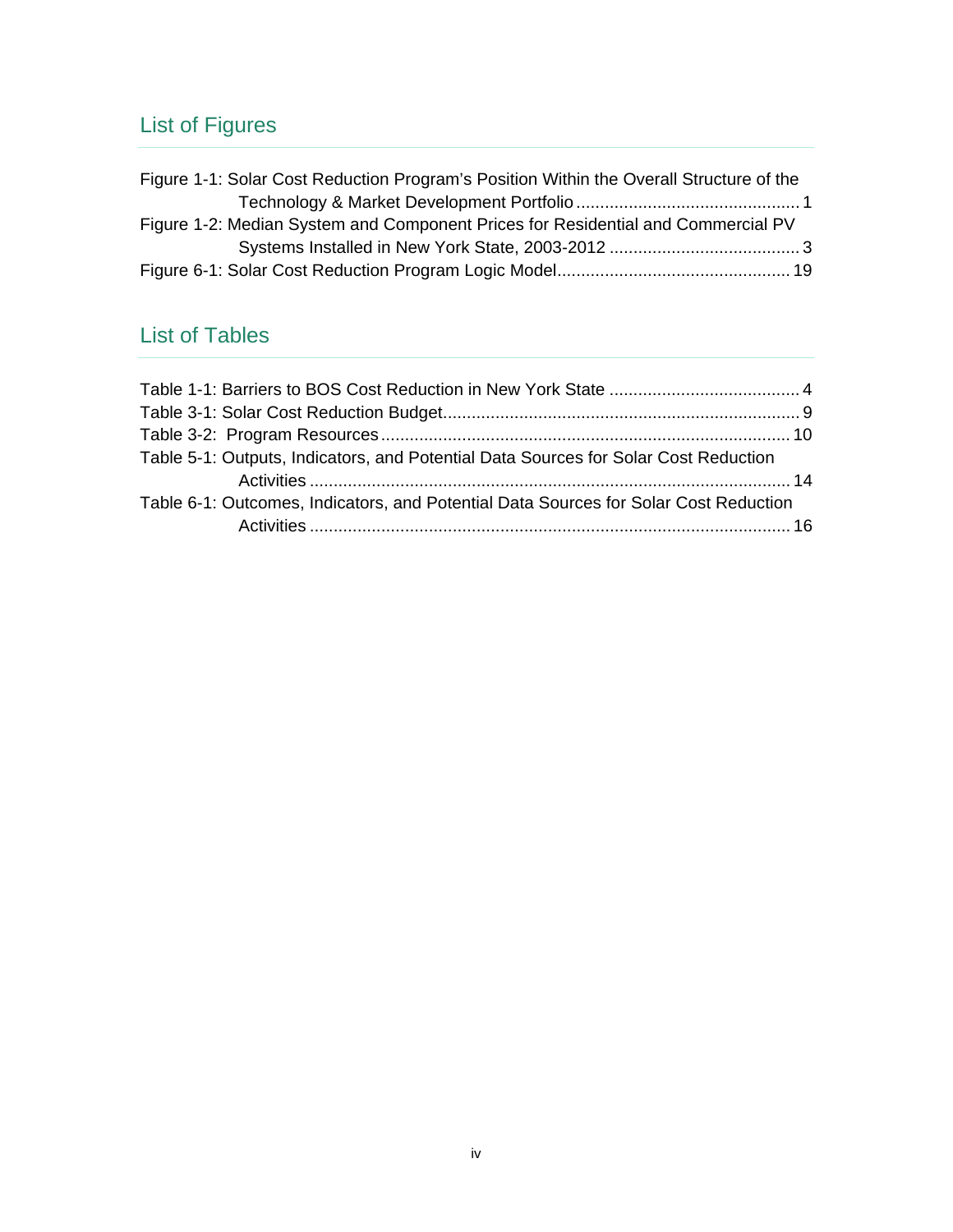# List of Figures

| Figure 1-1: Solar Cost Reduction Program's Position Within the Overall Structure of the |  |
|-----------------------------------------------------------------------------------------|--|
|                                                                                         |  |
| Figure 1-2: Median System and Component Prices for Residential and Commercial PV        |  |
|                                                                                         |  |
|                                                                                         |  |

# List of Tables

| Table 5-1: Outputs, Indicators, and Potential Data Sources for Solar Cost Reduction  |  |
|--------------------------------------------------------------------------------------|--|
|                                                                                      |  |
| Table 6-1: Outcomes, Indicators, and Potential Data Sources for Solar Cost Reduction |  |
|                                                                                      |  |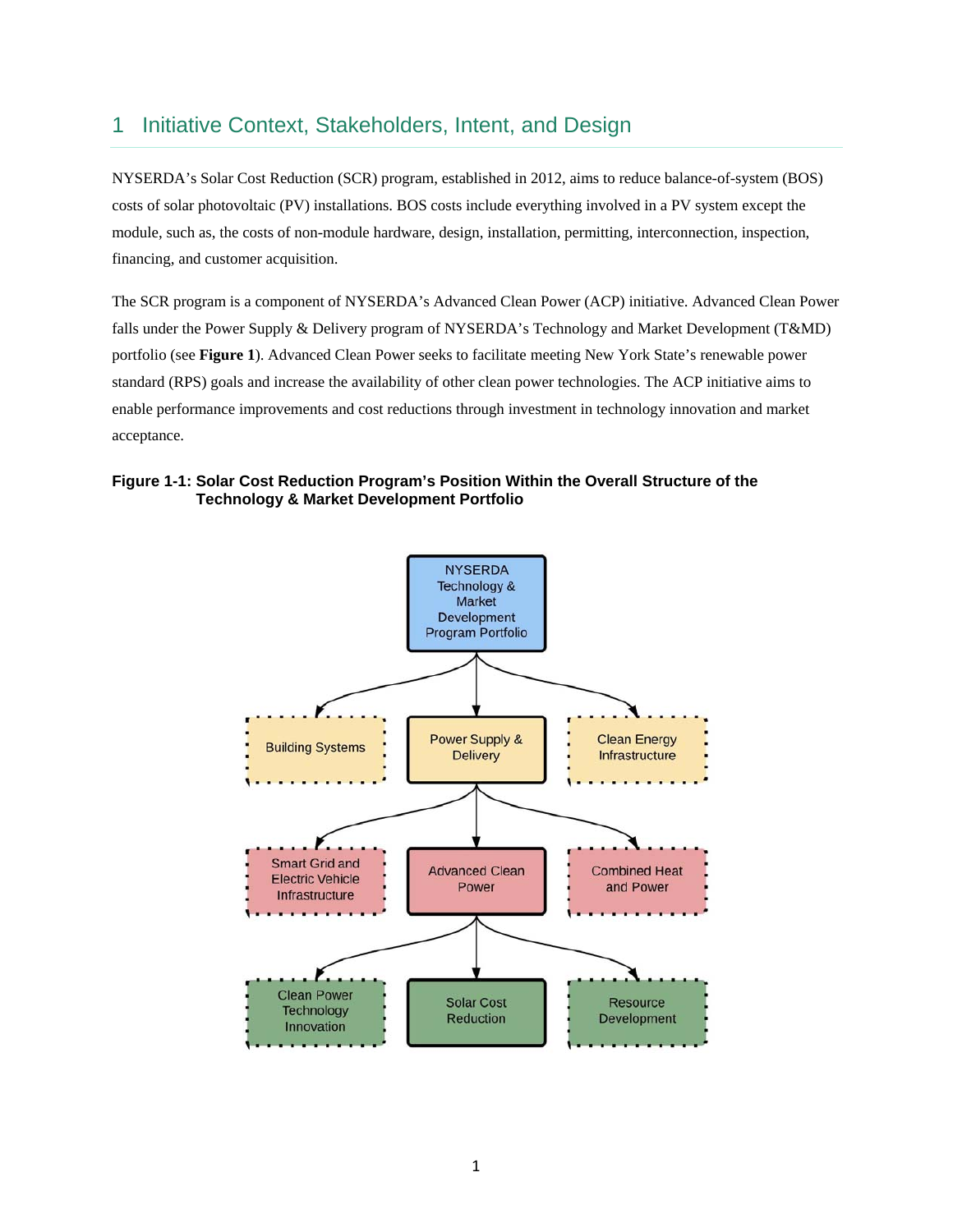## 1 Initiative Context, Stakeholders, Intent, and Design

NYSERDA's Solar Cost Reduction (SCR) program, established in 2012, aims to reduce balance-of-system (BOS) costs of solar photovoltaic (PV) installations. BOS costs include everything involved in a PV system except the module, such as, the costs of non-module hardware, design, installation, permitting, interconnection, inspection, financing, and customer acquisition.

 falls under the Power Supply & Delivery program of NYSERDA's Technology and Market Development (T&MD) portfolio (see **Figure 1**). Advanced Clean Power seeks to facilitate meeting New York State's renewable power The SCR program is a component of NYSERDA's Advanced Clean Power (ACP) initiative. Advanced Clean Power standard (RPS) goals and increase the availability of other clean power technologies. The ACP initiative aims to enable performance improvements and cost reductions through investment in technology innovation and market acceptance.

#### **Figure 1-1: Solar Cost Reduction Program's Position Within the Overall Structure of the Technology & Market Development Portfolio**

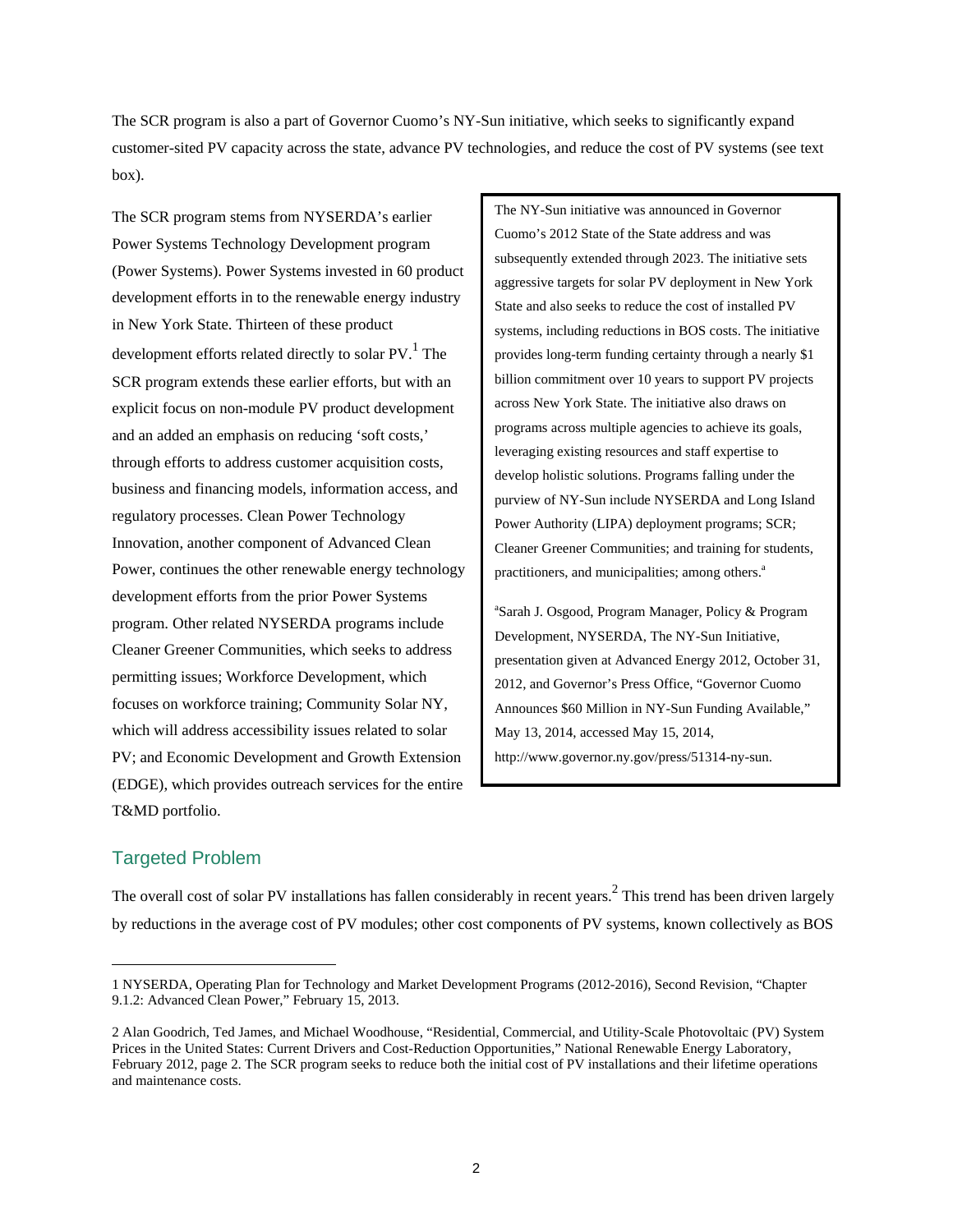The SCR program is also a part of Governor Cuomo's NY-Sun initiative, which seeks to significantly expand customer-sited PV capacity across the state, advance PV technologies, and reduce the cost of PV systems (see text box).

 (Power Systems). Power Systems invested in 60 product Power, continues the other renewable energy technology The SCR program stems from NYSERDA's earlier Power Systems Technology Development program development efforts in to the renewable energy industry in New York State. Thirteen of these product development efforts related directly to solar PV.<sup>1</sup> The SCR program extends these earlier efforts, but with an explicit focus on non-module PV product development and an added an emphasis on reducing 'soft costs,' through efforts to address customer acquisition costs, business and financing models, information access, and regulatory processes. Clean Power Technology Innovation, another component of Advanced Clean development efforts from the prior Power Systems program. Other related NYSERDA programs include Cleaner Greener Communities, which seeks to address permitting issues; Workforce Development, which focuses on workforce training; Community Solar NY, which will address accessibility issues related to solar PV; and Economic Development and Growth Extension (EDGE), which provides outreach services for the entire T&MD portfolio.

The NY-Sun initiative was announced in Governor Cuomo's 2012 State of the State address and was subsequently extended through 2023. The initiative sets aggressive targets for solar PV deployment in New York State and also seeks to reduce the cost of installed PV systems, including reductions in BOS costs. The initiative provides long-term funding certainty through a nearly \$1 billion commitment over 10 years to support PV projects across New York State. The initiative also draws on programs across multiple agencies to achieve its goals, leveraging existing resources and staff expertise to develop holistic solutions. Programs falling under the purview of NY-Sun include NYSERDA and Long Island Power Authority (LIPA) deployment programs; SCR; Cleaner Greener Communities; and training for students, practitioners, and municipalities; among others.<sup>a</sup>

a Sarah J. Osgood, Program Manager, Policy & Program Development, NYSERDA, The NY-Sun Initiative, presentation given at Advanced Energy 2012, October 31, 2012, and Governor's Press Office, "Governor Cuomo Announces \$60 Million in NY-Sun Funding Available," May 13, 2014, accessed May 15, 2014, http://www.governor.ny.gov/press/51314-ny-sun.

### Targeted Problem

The overall cost of solar PV installations has fallen considerably in recent years.<sup>2</sup> This trend has been driven largely by reductions in the average cost of PV modules; other cost components of PV systems, known collectively as BOS

<sup>1</sup> NYSERDA, Operating Plan for Technology and Market Development Programs (2012-2016), Second Revision, "Chapter 9.1.2: Advanced Clean Power," February 15, 2013.

 Prices in the United States: Current Drivers and Cost-Reduction Opportunities," National Renewable Energy Laboratory, 2 Alan Goodrich, Ted James, and Michael Woodhouse, "Residential, Commercial, and Utility-Scale Photovoltaic (PV) System February 2012, page 2. The SCR program seeks to reduce both the initial cost of PV installations and their lifetime operations and maintenance costs.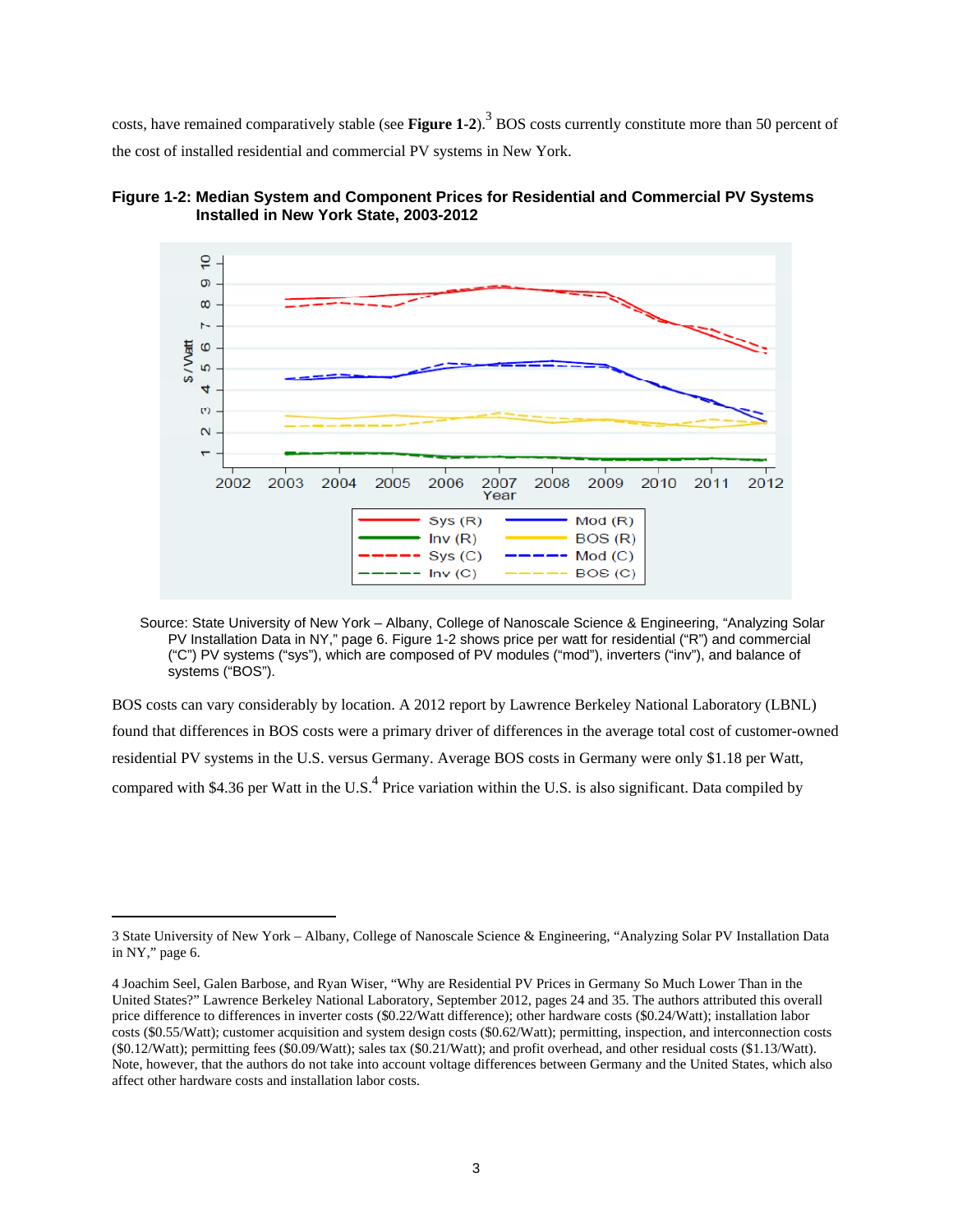costs, have remained comparatively stable (see **Figure 1-2**).<sup>3</sup> BOS costs currently constitute more than 50 percent of the cost of installed residential and commercial PV systems in New York.



**Figure 1-2: Median System and Component Prices for Residential and Commercial PV Systems Installed in New York State, 2003-2012** 

Source: State University of New York – Albany, College of Nanoscale Science & Engineering, "Analyzing Solar PV Installation Data in NY," page 6. Figure 1-2 shows price per watt for residential ("R") and commercial ("C") PV systems ("sys"), which are composed of PV modules ("mod"), inverters ("inv"), and balance of systems ("BOS").

BOS costs can vary considerably by location. A 2012 report by Lawrence Berkeley National Laboratory (LBNL) found that differences in BOS costs were a primary driver of differences in the average total cost of customer-owned residential PV systems in the U.S. versus Germany. Average BOS costs in Germany were only \$1.18 per Watt, compared with \$4.36 per Watt in the U.S.<sup>4</sup> Price variation within the U.S. is also significant. Data compiled by

<sup>3</sup> State University of New York – Albany, College of Nanoscale Science & Engineering, "Analyzing Solar PV Installation Data in NY," page 6.

 Note, however, that the authors do not take into account voltage differences between Germany and the United States, which also affect other hardware costs and installation labor costs. 4 Joachim Seel, Galen Barbose, and Ryan Wiser, "Why are Residential PV Prices in Germany So Much Lower Than in the United States?" Lawrence Berkeley National Laboratory, September 2012, pages 24 and 35. The authors attributed this overall price difference to differences in inverter costs (\$0.22/Watt difference); other hardware costs (\$0.24/Watt); installation labor costs (\$0.55/Watt); customer acquisition and system design costs (\$0.62/Watt); permitting, inspection, and interconnection costs (\$0.12/Watt); permitting fees (\$0.09/Watt); sales tax (\$0.21/Watt); and profit overhead, and other residual costs (\$1.13/Watt).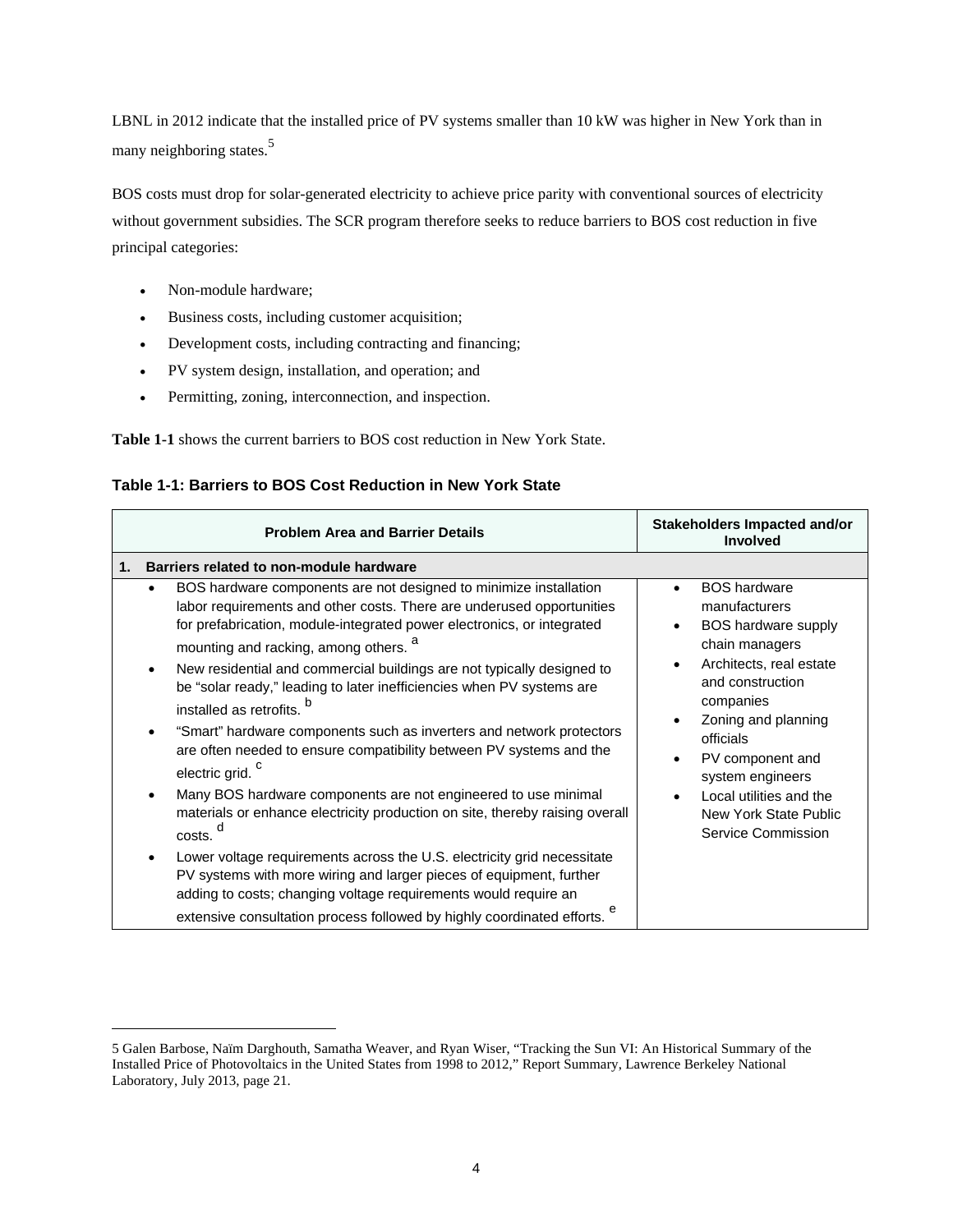LBNL in 2012 indicate that the installed price of PV systems smaller than 10 kW was higher in New York than in many neighboring states.<sup>5</sup>

 without government subsidies. The SCR program therefore seeks to reduce barriers to BOS cost reduction in five BOS costs must drop for solar-generated electricity to achieve price parity with conventional sources of electricity principal categories:

Non-module hardware;

- Business costs, including customer acquisition;
- Development costs, including contracting and financing;
- PV system design, installation, and operation; and
- Permitting, zoning, interconnection, and inspection.

**Table 1-1** shows the current barriers to BOS cost reduction in New York State.

**Table 1-1: Barriers to BOS Cost Reduction in New York State** 

| <b>Problem Area and Barrier Details</b>                                                                                                                                                                                                                                                                                                                                                                                                                                                                                                                                                                                                                                                                                                                                                                                                                                                                                                                                                                                                                                                                                | Stakeholders Impacted and/or<br><b>Involved</b>                                                                                                                                                                                                                                                                     |
|------------------------------------------------------------------------------------------------------------------------------------------------------------------------------------------------------------------------------------------------------------------------------------------------------------------------------------------------------------------------------------------------------------------------------------------------------------------------------------------------------------------------------------------------------------------------------------------------------------------------------------------------------------------------------------------------------------------------------------------------------------------------------------------------------------------------------------------------------------------------------------------------------------------------------------------------------------------------------------------------------------------------------------------------------------------------------------------------------------------------|---------------------------------------------------------------------------------------------------------------------------------------------------------------------------------------------------------------------------------------------------------------------------------------------------------------------|
| Barriers related to non-module hardware<br>1.                                                                                                                                                                                                                                                                                                                                                                                                                                                                                                                                                                                                                                                                                                                                                                                                                                                                                                                                                                                                                                                                          |                                                                                                                                                                                                                                                                                                                     |
| BOS hardware components are not designed to minimize installation<br>٠<br>labor requirements and other costs. There are underused opportunities<br>for prefabrication, module-integrated power electronics, or integrated<br>mounting and racking, among others.<br>New residential and commercial buildings are not typically designed to<br>be "solar ready," leading to later inefficiencies when PV systems are<br>installed as retrofits.<br>"Smart" hardware components such as inverters and network protectors<br>are often needed to ensure compatibility between PV systems and the<br>electric grid. <sup>c</sup><br>Many BOS hardware components are not engineered to use minimal<br>$\bullet$<br>materials or enhance electricity production on site, thereby raising overall<br>costs.<br>Lower voltage requirements across the U.S. electricity grid necessitate<br>$\bullet$<br>PV systems with more wiring and larger pieces of equipment, further<br>adding to costs; changing voltage requirements would require an<br>е<br>extensive consultation process followed by highly coordinated efforts. | <b>BOS</b> hardware<br>$\bullet$<br>manufacturers<br><b>BOS hardware supply</b><br>chain managers<br>Architects, real estate<br>and construction<br>companies<br>Zoning and planning<br>officials<br>PV component and<br>system engineers<br>Local utilities and the<br>New York State Public<br>Service Commission |

<sup>5</sup> Galen Barbose, Naïm Darghouth, Samatha Weaver, and Ryan Wiser, "Tracking the Sun VI: An Historical Summary of the Installed Price of Photovoltaics in the United States from 1998 to 2012," Report Summary, Lawrence Berkeley National Laboratory, July 2013, page 21.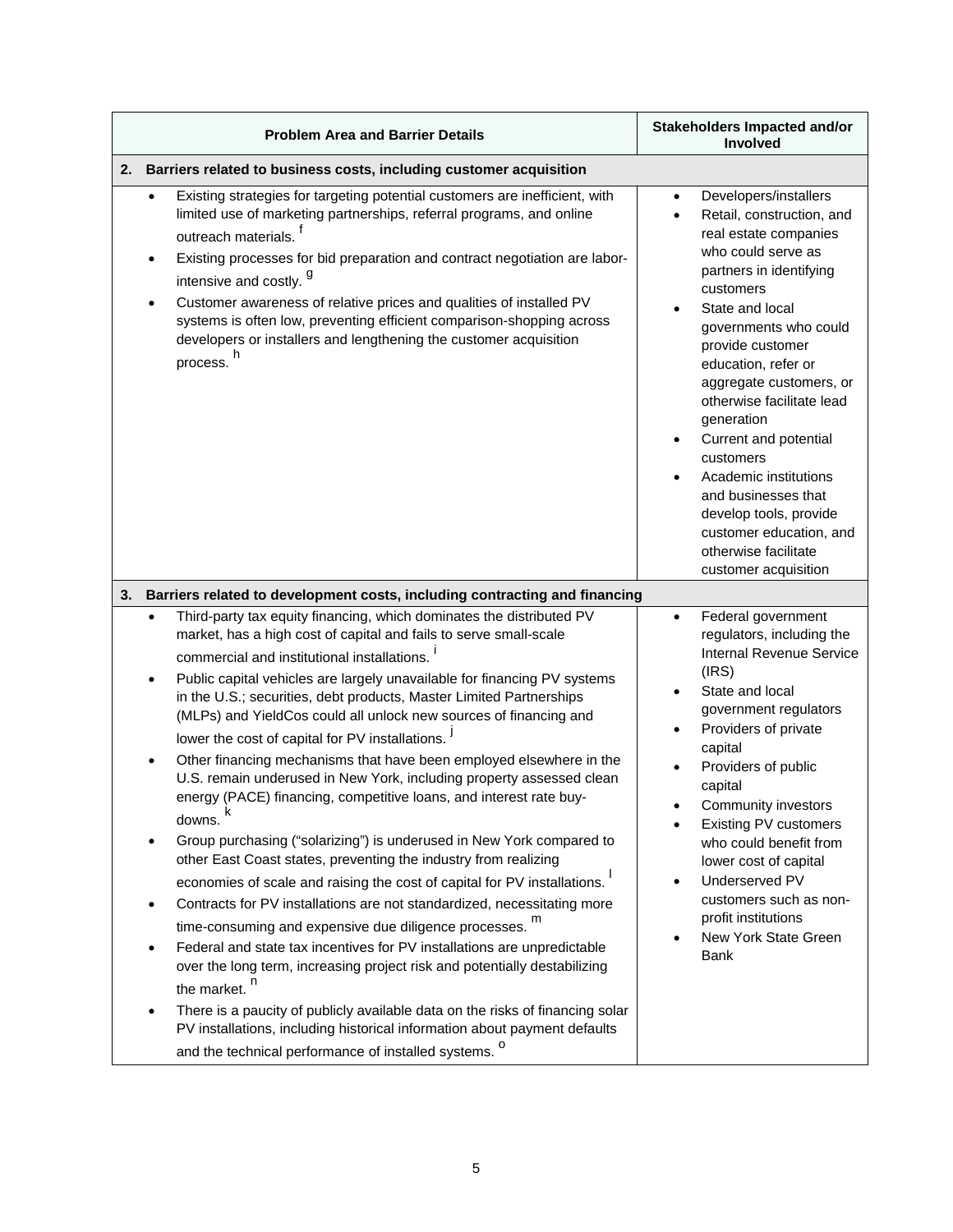| <b>Problem Area and Barrier Details</b>                                                                                                                                                                                                                                                                                                                                                                                                                                                                                                                                                                                                                                                                                                                                                                                                                                                                                                                                                                                                                                                                                                                                                                                                                                          | Stakeholders Impacted and/or<br>Involved                                                                                                                                                                                                                                                                                                                                                                                                                                                          |  |  |  |
|----------------------------------------------------------------------------------------------------------------------------------------------------------------------------------------------------------------------------------------------------------------------------------------------------------------------------------------------------------------------------------------------------------------------------------------------------------------------------------------------------------------------------------------------------------------------------------------------------------------------------------------------------------------------------------------------------------------------------------------------------------------------------------------------------------------------------------------------------------------------------------------------------------------------------------------------------------------------------------------------------------------------------------------------------------------------------------------------------------------------------------------------------------------------------------------------------------------------------------------------------------------------------------|---------------------------------------------------------------------------------------------------------------------------------------------------------------------------------------------------------------------------------------------------------------------------------------------------------------------------------------------------------------------------------------------------------------------------------------------------------------------------------------------------|--|--|--|
| 2. Barriers related to business costs, including customer acquisition                                                                                                                                                                                                                                                                                                                                                                                                                                                                                                                                                                                                                                                                                                                                                                                                                                                                                                                                                                                                                                                                                                                                                                                                            |                                                                                                                                                                                                                                                                                                                                                                                                                                                                                                   |  |  |  |
| Existing strategies for targeting potential customers are inefficient, with<br>limited use of marketing partnerships, referral programs, and online<br>outreach materials.<br>Existing processes for bid preparation and contract negotiation are labor-<br>intensive and costly. <sup>g</sup><br>Customer awareness of relative prices and qualities of installed PV<br>$\bullet$<br>systems is often low, preventing efficient comparison-shopping across<br>developers or installers and lengthening the customer acquisition<br>process. <sup>h</sup>                                                                                                                                                                                                                                                                                                                                                                                                                                                                                                                                                                                                                                                                                                                        | Developers/installers<br>Retail, construction, and<br>real estate companies<br>who could serve as<br>partners in identifying<br>customers<br>State and local<br>governments who could<br>provide customer<br>education, refer or<br>aggregate customers, or<br>otherwise facilitate lead<br>generation<br>Current and potential<br>customers<br>Academic institutions<br>and businesses that<br>develop tools, provide<br>customer education, and<br>otherwise facilitate<br>customer acquisition |  |  |  |
| 3. Barriers related to development costs, including contracting and financing                                                                                                                                                                                                                                                                                                                                                                                                                                                                                                                                                                                                                                                                                                                                                                                                                                                                                                                                                                                                                                                                                                                                                                                                    |                                                                                                                                                                                                                                                                                                                                                                                                                                                                                                   |  |  |  |
| Third-party tax equity financing, which dominates the distributed PV<br>$\bullet$<br>market, has a high cost of capital and fails to serve small-scale<br>commercial and institutional installations.<br>Public capital vehicles are largely unavailable for financing PV systems<br>$\bullet$<br>in the U.S.; securities, debt products, Master Limited Partnerships<br>(MLPs) and YieldCos could all unlock new sources of financing and<br>lower the cost of capital for PV installations.<br>Other financing mechanisms that have been employed elsewhere in the<br>$\bullet$<br>U.S. remain underused in New York, including property assessed clean<br>energy (PACE) financing, competitive loans, and interest rate buy-<br>ĸ<br>downs.<br>Group purchasing ("solarizing") is underused in New York compared to<br>other East Coast states, preventing the industry from realizing<br>economies of scale and raising the cost of capital for PV installations.<br>Contracts for PV installations are not standardized, necessitating more<br>time-consuming and expensive due diligence processes. m<br>Federal and state tax incentives for PV installations are unpredictable<br>$\bullet$<br>over the long term, increasing project risk and potentially destabilizing | Federal government<br>$\bullet$<br>regulators, including the<br><b>Internal Revenue Service</b><br>(IRS)<br>State and local<br>government regulators<br>Providers of private<br>capital<br>Providers of public<br>capital<br>Community investors<br>Existing PV customers<br>who could benefit from<br>lower cost of capital<br>Underserved PV<br>customers such as non-<br>profit institutions<br>New York State Green<br>Bank                                                                   |  |  |  |
| the market. <sup>n</sup><br>There is a paucity of publicly available data on the risks of financing solar<br>$\bullet$<br>PV installations, including historical information about payment defaults<br>and the technical performance of installed systems. <sup>0</sup>                                                                                                                                                                                                                                                                                                                                                                                                                                                                                                                                                                                                                                                                                                                                                                                                                                                                                                                                                                                                          |                                                                                                                                                                                                                                                                                                                                                                                                                                                                                                   |  |  |  |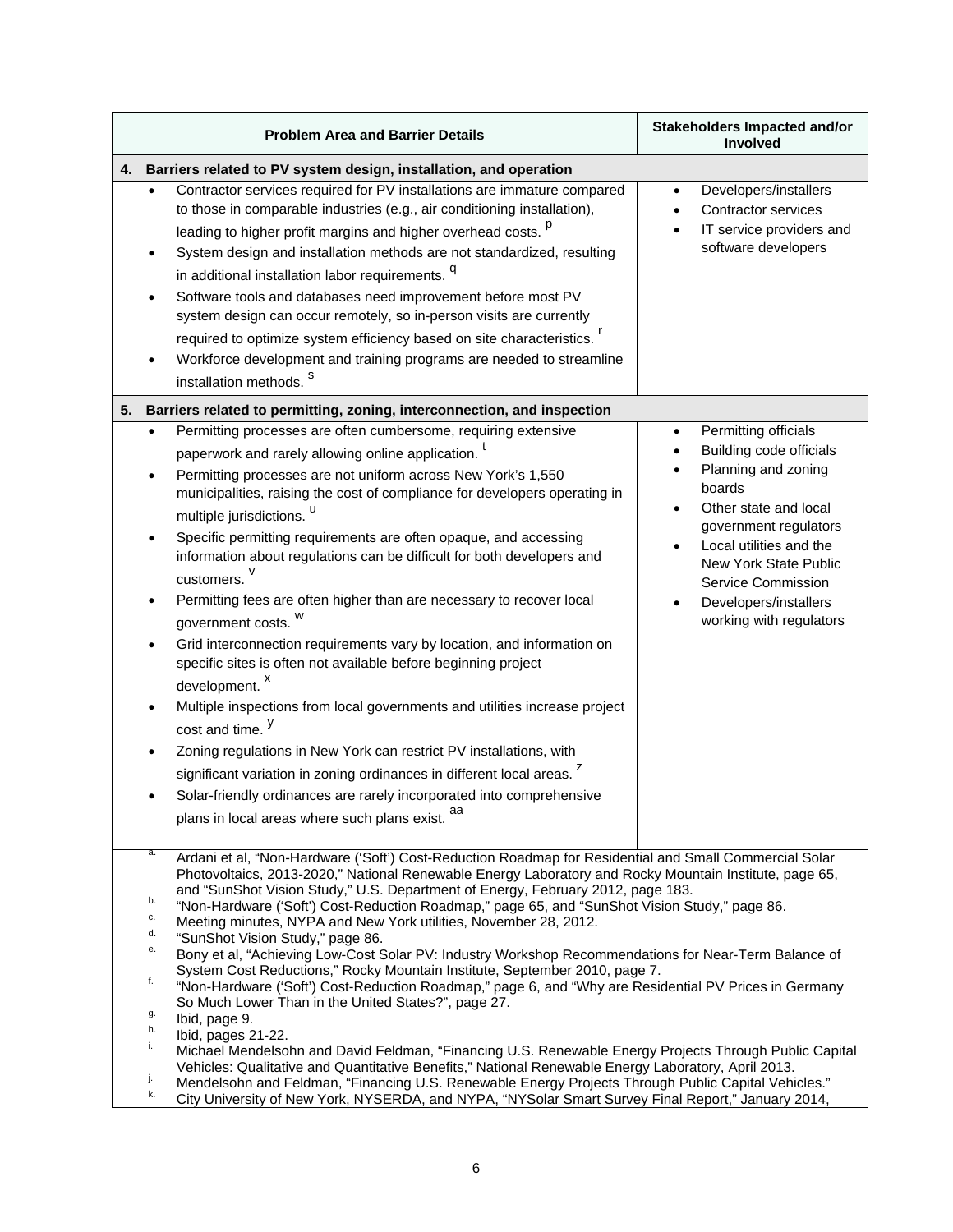|    | <b>Problem Area and Barrier Details</b>                                                                                                                                                                                                                                                                                                                                                                                                                                                                                                                                                                                                                                                                                                                                                                                                                                                                                                                                                                                                                                                                                                                                                                                                                                                                                                                                                                   | Stakeholders Impacted and/or<br>Involved                                                                                                                                                                                                                                             |  |  |  |
|----|-----------------------------------------------------------------------------------------------------------------------------------------------------------------------------------------------------------------------------------------------------------------------------------------------------------------------------------------------------------------------------------------------------------------------------------------------------------------------------------------------------------------------------------------------------------------------------------------------------------------------------------------------------------------------------------------------------------------------------------------------------------------------------------------------------------------------------------------------------------------------------------------------------------------------------------------------------------------------------------------------------------------------------------------------------------------------------------------------------------------------------------------------------------------------------------------------------------------------------------------------------------------------------------------------------------------------------------------------------------------------------------------------------------|--------------------------------------------------------------------------------------------------------------------------------------------------------------------------------------------------------------------------------------------------------------------------------------|--|--|--|
| 4. | Barriers related to PV system design, installation, and operation                                                                                                                                                                                                                                                                                                                                                                                                                                                                                                                                                                                                                                                                                                                                                                                                                                                                                                                                                                                                                                                                                                                                                                                                                                                                                                                                         |                                                                                                                                                                                                                                                                                      |  |  |  |
|    | Contractor services required for PV installations are immature compared<br>to those in comparable industries (e.g., air conditioning installation),<br>leading to higher profit margins and higher overhead costs. P<br>System design and installation methods are not standardized, resulting<br>in additional installation labor requirements. <sup>q</sup><br>Software tools and databases need improvement before most PV<br>system design can occur remotely, so in-person visits are currently<br>required to optimize system efficiency based on site characteristics.<br>Workforce development and training programs are needed to streamline                                                                                                                                                                                                                                                                                                                                                                                                                                                                                                                                                                                                                                                                                                                                                     | Developers/installers<br><b>Contractor services</b><br>IT service providers and<br>software developers                                                                                                                                                                               |  |  |  |
|    | installation methods. <sup>S</sup>                                                                                                                                                                                                                                                                                                                                                                                                                                                                                                                                                                                                                                                                                                                                                                                                                                                                                                                                                                                                                                                                                                                                                                                                                                                                                                                                                                        |                                                                                                                                                                                                                                                                                      |  |  |  |
| 5. | Barriers related to permitting, zoning, interconnection, and inspection                                                                                                                                                                                                                                                                                                                                                                                                                                                                                                                                                                                                                                                                                                                                                                                                                                                                                                                                                                                                                                                                                                                                                                                                                                                                                                                                   |                                                                                                                                                                                                                                                                                      |  |  |  |
|    | Permitting processes are often cumbersome, requiring extensive<br>paperwork and rarely allowing online application.<br>Permitting processes are not uniform across New York's 1,550<br>municipalities, raising the cost of compliance for developers operating in<br>multiple jurisdictions. "<br>Specific permitting requirements are often opaque, and accessing<br>$\bullet$<br>information about regulations can be difficult for both developers and<br>customers. V<br>Permitting fees are often higher than are necessary to recover local<br>government costs.<br>Grid interconnection requirements vary by location, and information on<br>specific sites is often not available before beginning project<br>development. <sup>x</sup><br>Multiple inspections from local governments and utilities increase project<br>cost and time. <sup>y</sup><br>Zoning regulations in New York can restrict PV installations, with<br>significant variation in zoning ordinances in different local areas. <sup>2</sup><br>Solar-friendly ordinances are rarely incorporated into comprehensive<br>plans in local areas where such plans exist.                                                                                                                                                                                                                                                           | Permitting officials<br>$\bullet$<br><b>Building code officials</b><br>Planning and zoning<br>boards<br>Other state and local<br>government regulators<br>Local utilities and the<br>New York State Public<br>Service Commission<br>Developers/installers<br>working with regulators |  |  |  |
|    | а.<br>Ardani et al, "Non-Hardware ('Soft') Cost-Reduction Roadmap for Residential and Small Commercial Solar<br>Photovoltaics, 2013-2020," National Renewable Energy Laboratory and Rocky Mountain Institute, page 65,<br>and "SunShot Vision Study," U.S. Department of Energy, February 2012, page 183.<br>b.<br>"Non-Hardware ('Soft') Cost-Reduction Roadmap," page 65, and "SunShot Vision Study," page 86.<br>c.<br>Meeting minutes, NYPA and New York utilities, November 28, 2012.<br>d.<br>"SunShot Vision Study," page 86.<br>е.<br>Bony et al, "Achieving Low-Cost Solar PV: Industry Workshop Recommendations for Near-Term Balance of<br>System Cost Reductions," Rocky Mountain Institute, September 2010, page 7.<br>f.<br>"Non-Hardware ('Soft') Cost-Reduction Roadmap," page 6, and "Why are Residential PV Prices in Germany<br>So Much Lower Than in the United States?", page 27.<br>g.<br>Ibid, page 9.<br>h.<br>Ibid, pages 21-22.<br>i.<br>Michael Mendelsohn and David Feldman, "Financing U.S. Renewable Energy Projects Through Public Capital<br>Vehicles: Qualitative and Quantitative Benefits," National Renewable Energy Laboratory, April 2013.<br>j.<br>Mendelsohn and Feldman, "Financing U.S. Renewable Energy Projects Through Public Capital Vehicles."<br>k.<br>City University of New York, NYSERDA, and NYPA, "NYSolar Smart Survey Final Report," January 2014, |                                                                                                                                                                                                                                                                                      |  |  |  |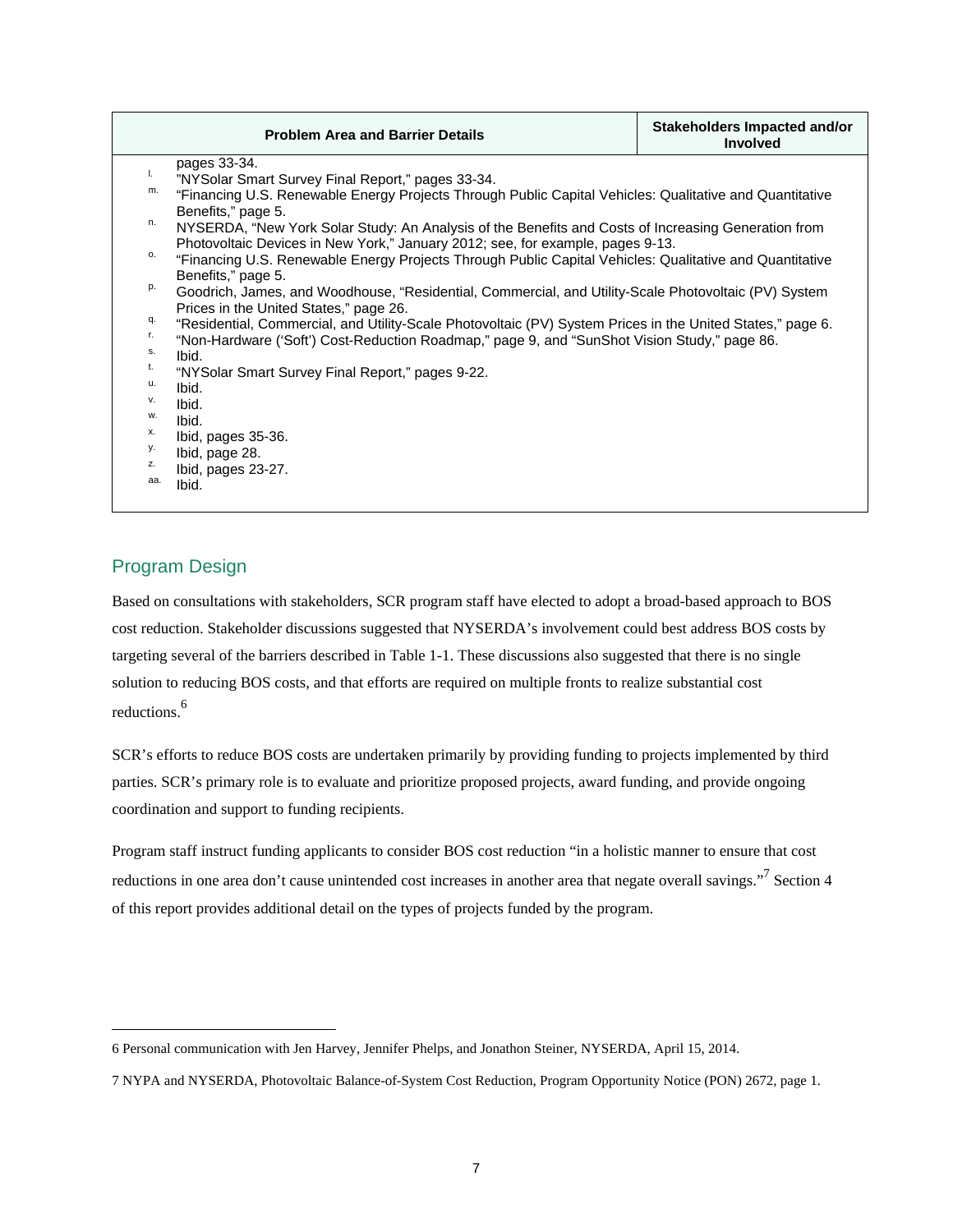|                    | <b>Problem Area and Barrier Details</b>                                                                                       | Stakeholders Impacted and/or<br><b>Involved</b> |  |  |  |
|--------------------|-------------------------------------------------------------------------------------------------------------------------------|-------------------------------------------------|--|--|--|
| pages 33-34.<br>L. |                                                                                                                               |                                                 |  |  |  |
| m.                 | "NYSolar Smart Survey Final Report," pages 33-34.                                                                             |                                                 |  |  |  |
|                    | "Financing U.S. Renewable Energy Projects Through Public Capital Vehicles: Qualitative and Quantitative<br>Benefits," page 5. |                                                 |  |  |  |
| n.                 | NYSERDA, "New York Solar Study: An Analysis of the Benefits and Costs of Increasing Generation from                           |                                                 |  |  |  |
|                    | Photovoltaic Devices in New York," January 2012; see, for example, pages 9-13.                                                |                                                 |  |  |  |
| 0.                 | "Financing U.S. Renewable Energy Projects Through Public Capital Vehicles: Qualitative and Quantitative                       |                                                 |  |  |  |
|                    | Benefits," page 5.                                                                                                            |                                                 |  |  |  |
| p.                 | Goodrich, James, and Woodhouse, "Residential, Commercial, and Utility-Scale Photovoltaic (PV) System                          |                                                 |  |  |  |
|                    | Prices in the United States," page 26.                                                                                        |                                                 |  |  |  |
| q.                 | "Residential, Commercial, and Utility-Scale Photovoltaic (PV) System Prices in the United States," page 6.                    |                                                 |  |  |  |
| r.                 | "Non-Hardware ('Soft') Cost-Reduction Roadmap," page 9, and "SunShot Vision Study," page 86.                                  |                                                 |  |  |  |
| S.                 | Ibid.                                                                                                                         |                                                 |  |  |  |
| t.                 | "NYSolar Smart Survey Final Report," pages 9-22.                                                                              |                                                 |  |  |  |
| u.                 | Ibid.                                                                                                                         |                                                 |  |  |  |
| v.                 | Ibid.                                                                                                                         |                                                 |  |  |  |
|                    | w.<br>Ibid.                                                                                                                   |                                                 |  |  |  |
|                    | х.<br>Ibid, pages 35-36.                                                                                                      |                                                 |  |  |  |
|                    | у.<br>Ibid, page 28.                                                                                                          |                                                 |  |  |  |
| z.                 | Ibid, pages 23-27.                                                                                                            |                                                 |  |  |  |
| aa.                | Ibid.                                                                                                                         |                                                 |  |  |  |
|                    |                                                                                                                               |                                                 |  |  |  |

### Program Design

 cost reduction. Stakeholder discussions suggested that NYSERDA's involvement could best address BOS costs by targeting several of the barriers described in Table 1-1. These discussions also suggested that there is no single reductions.<sup>6</sup> Based on consultations with stakeholders, SCR program staff have elected to adopt a broad-based approach to BOS solution to reducing BOS costs, and that efforts are required on multiple fronts to realize substantial cost

 parties. SCR's primary role is to evaluate and prioritize proposed projects, award funding, and provide ongoing coordination and support to funding recipients. SCR's efforts to reduce BOS costs are undertaken primarily by providing funding to projects implemented by third

of this report provides additional detail on the types of projects funded by the program. Program staff instruct funding applicants to consider BOS cost reduction "in a holistic manner to ensure that cost reductions in one area don't cause unintended cost increases in another area that negate overall savings."<sup>7</sup> Section 4 of this report provides additional detail on the types of projects funded by the program.<br>
6 Personal communication with Jen Harvey, Jennifer Phelps, and Jonathon Steiner, NYSERDA, April 15, 2014.

<sup>7</sup> NYPA and NYSERDA, Photovoltaic Balance-of-System Cost Reduction, Program Opportunity Notice (PON) 2672, page 1.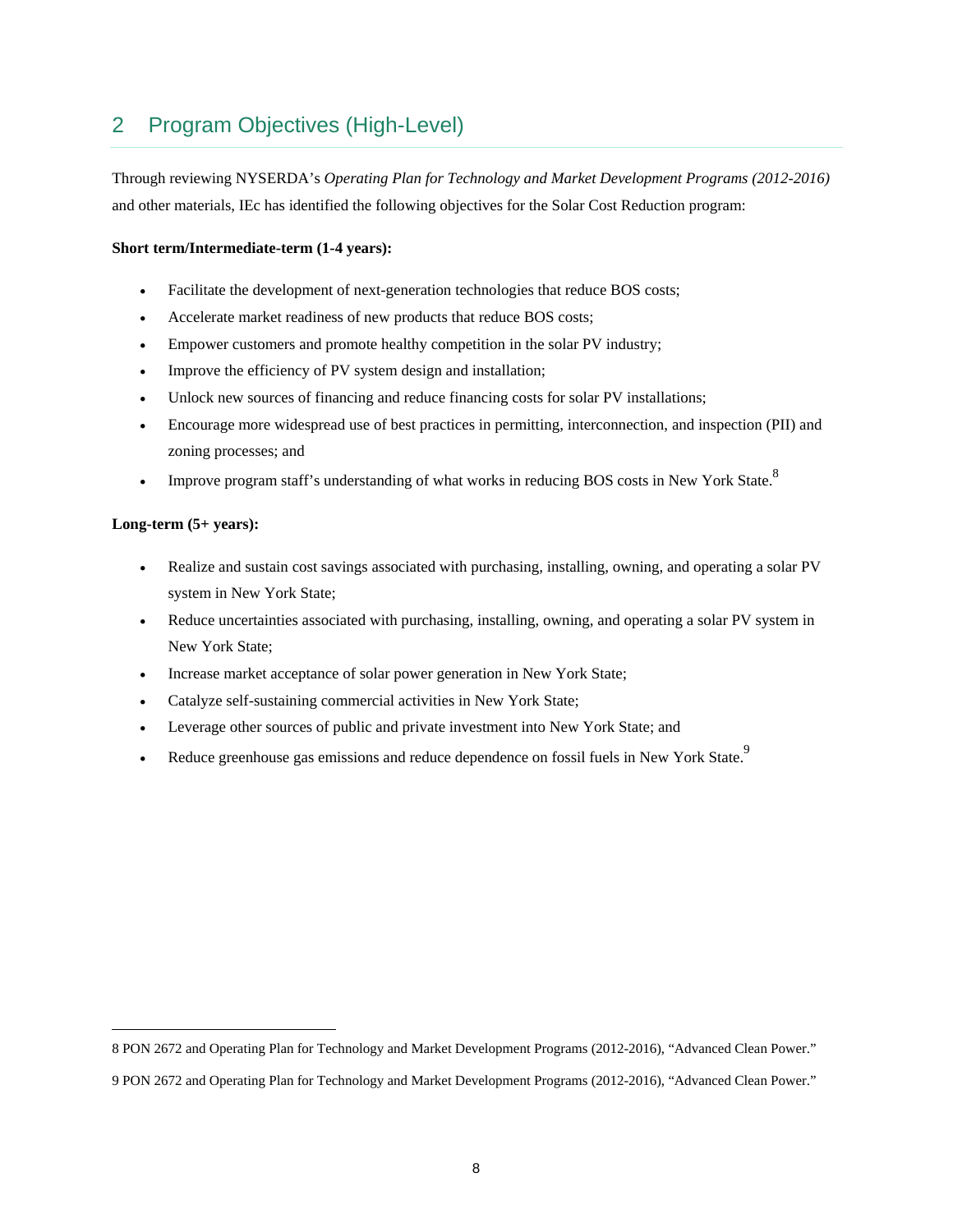# 2 Program Objectives (High-Level)

Through reviewing NYSERDA's *Operating Plan for Technology and Market Development Programs (2012-2016)*  and other materials, IEc has identified the following objectives for the Solar Cost Reduction program:

#### **Short term/Intermediate-term (1-4 years):**

- Facilitate the development of next-generation technologies that reduce BOS costs;
- Accelerate market readiness of new products that reduce BOS costs;
- Empower customers and promote healthy competition in the solar PV industry;
- Improve the efficiency of PV system design and installation;
- Unlock new sources of financing and reduce financing costs for solar PV installations;
- Encourage more widespread use of best practices in permitting, interconnection, and inspection (PII) and zoning processes; and
- Improve program staff's understanding of what works in reducing BOS costs in New York State.<sup>8</sup>

#### **Long-term (5+ years):**

- Realize and sustain cost savings associated with purchasing, installing, owning, and operating a solar PV system in New York State;
- Reduce uncertainties associated with purchasing, installing, owning, and operating a solar PV system in New York State;
- Increase market acceptance of solar power generation in New York State;
- Catalyze self-sustaining commercial activities in New York State;
- Leverage other sources of public and private investment into New York State; and
- Reduce greenhouse gas emissions and reduce dependence on fossil fuels in New York State.<sup>9</sup>

<sup>8</sup> PON 2672 and Operating Plan for Technology and Market Development Programs (2012-2016), "Advanced Clean Power." 9 PON 2672 and Operating Plan for Technology and Market Development Programs (2012-2016), "Advanced Clean Power."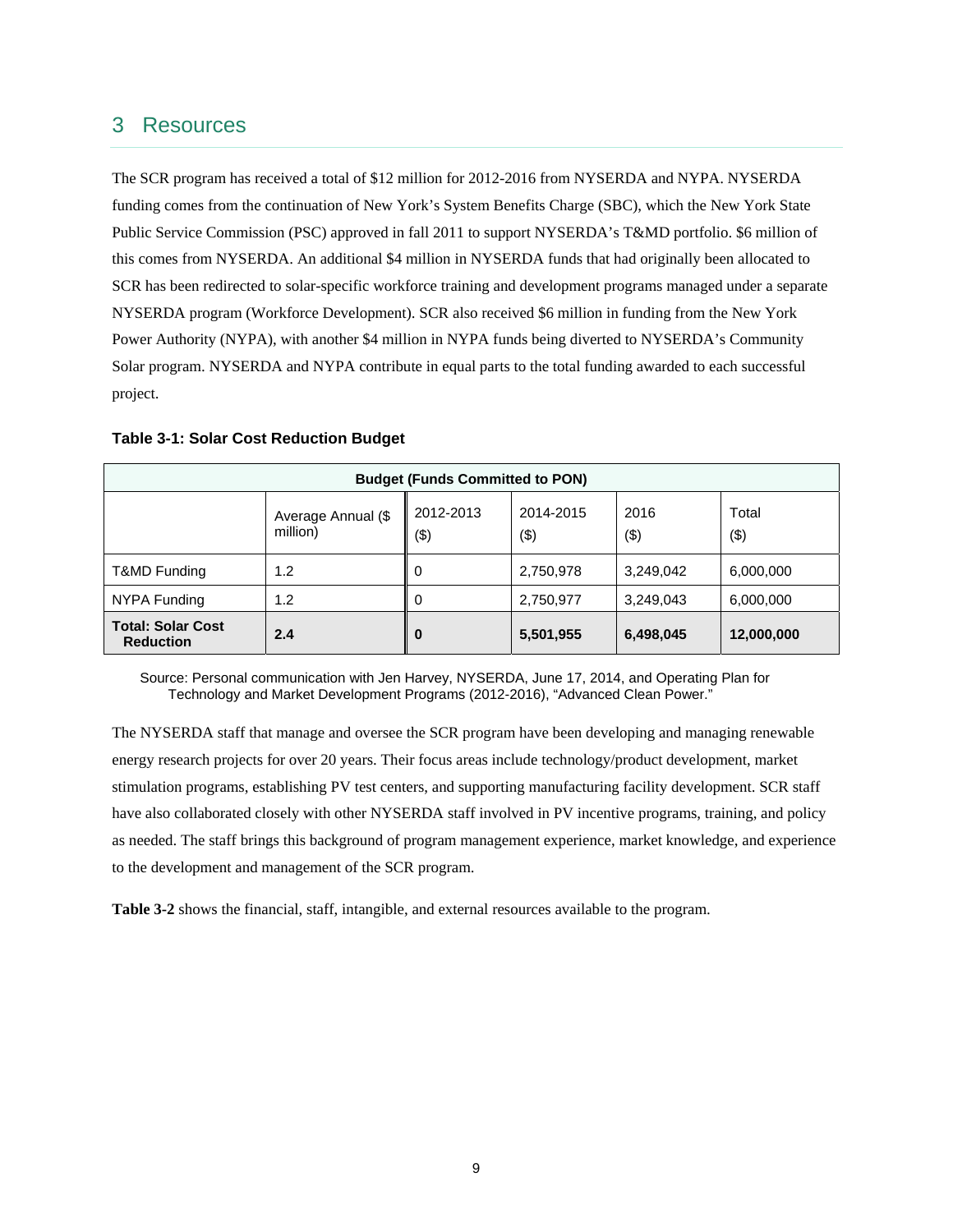## 3 Resources

 Public Service Commission (PSC) approved in fall 2011 to support NYSERDA's T&MD portfolio. \$6 million of Power Authority (NYPA), with another \$4 million in NYPA funds being diverted to NYSERDA's Community The SCR program has received a total of \$12 million for 2012-2016 from NYSERDA and NYPA. NYSERDA funding comes from the continuation of New York's System Benefits Charge (SBC), which the New York State this comes from NYSERDA. An additional \$4 million in NYSERDA funds that had originally been allocated to SCR has been redirected to solar-specific workforce training and development programs managed under a separate NYSERDA program (Workforce Development). SCR also received \$6 million in funding from the New York Solar program. NYSERDA and NYPA contribute in equal parts to the total funding awarded to each successful project.

| <b>Budget (Funds Committed to PON)</b>       |                                |                  |                  |             |              |
|----------------------------------------------|--------------------------------|------------------|------------------|-------------|--------------|
|                                              | Average Annual (\$<br>million) | 2012-2013<br>(3) | 2014-2015<br>(3) | 2016<br>(3) | Total<br>(3) |
| T&MD Funding                                 | 1.2                            |                  | 2,750,978        | 3,249,042   | 6,000,000    |
| NYPA Funding                                 | 1.2                            |                  | 2,750,977        | 3,249,043   | 6,000,000    |
| <b>Total: Solar Cost</b><br><b>Reduction</b> | 2.4                            | $\bf{0}$         | 5,501,955        | 6,498,045   | 12,000,000   |

#### **Table 3-1: Solar Cost Reduction Budget**

Source: Personal communication with Jen Harvey, NYSERDA, June 17, 2014, and Operating Plan for Technology and Market Development Programs (2012-2016), "Advanced Clean Power."

 as needed. The staff brings this background of program management experience, market knowledge, and experience The NYSERDA staff that manage and oversee the SCR program have been developing and managing renewable energy research projects for over 20 years. Their focus areas include technology/product development, market stimulation programs, establishing PV test centers, and supporting manufacturing facility development. SCR staff have also collaborated closely with other NYSERDA staff involved in PV incentive programs, training, and policy to the development and management of the SCR program.

**Table 3-2** shows the financial, staff, intangible, and external resources available to the program.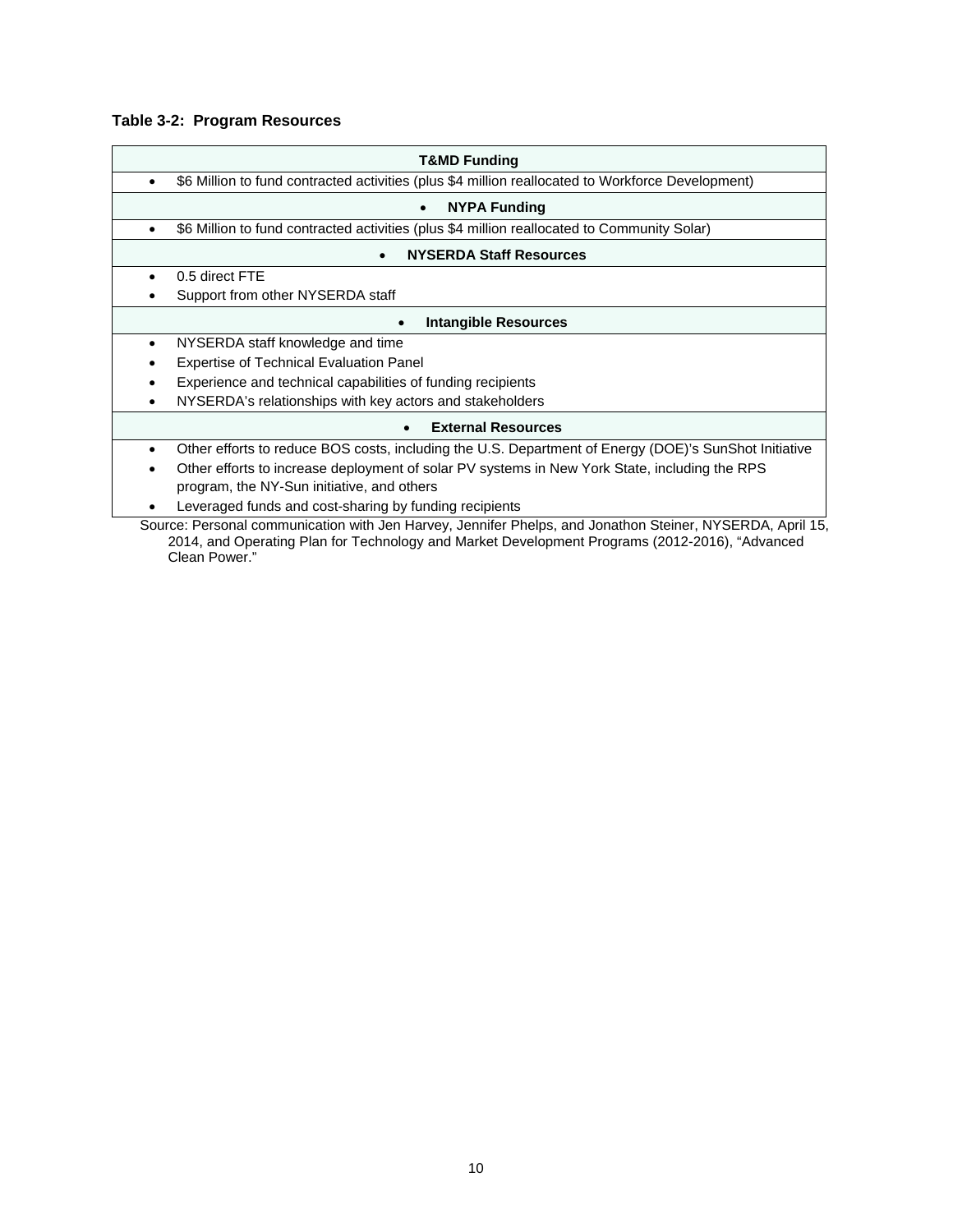### **Table 3-2: Program Resources**

| T&MD Funding                                                                                                                                                                                                                 |  |  |  |  |
|------------------------------------------------------------------------------------------------------------------------------------------------------------------------------------------------------------------------------|--|--|--|--|
| \$6 Million to fund contracted activities (plus \$4 million reallocated to Workforce Development)<br>$\bullet$                                                                                                               |  |  |  |  |
| <b>NYPA Funding</b><br>$\bullet$                                                                                                                                                                                             |  |  |  |  |
| \$6 Million to fund contracted activities (plus \$4 million reallocated to Community Solar)<br>$\bullet$                                                                                                                     |  |  |  |  |
| <b>NYSERDA Staff Resources</b>                                                                                                                                                                                               |  |  |  |  |
| 0.5 direct FTE<br>$\bullet$                                                                                                                                                                                                  |  |  |  |  |
| Support from other NYSERDA staff                                                                                                                                                                                             |  |  |  |  |
| <b>Intangible Resources</b>                                                                                                                                                                                                  |  |  |  |  |
| NYSERDA staff knowledge and time<br>٠                                                                                                                                                                                        |  |  |  |  |
| <b>Expertise of Technical Evaluation Panel</b>                                                                                                                                                                               |  |  |  |  |
| Experience and technical capabilities of funding recipients<br>٠                                                                                                                                                             |  |  |  |  |
| NYSERDA's relationships with key actors and stakeholders<br>٠                                                                                                                                                                |  |  |  |  |
| <b>External Resources</b>                                                                                                                                                                                                    |  |  |  |  |
| Other efforts to reduce BOS costs, including the U.S. Department of Energy (DOE)'s SunShot Initiative<br>$\bullet$                                                                                                           |  |  |  |  |
| Other efforts to increase deployment of solar PV systems in New York State, including the RPS                                                                                                                                |  |  |  |  |
| program, the NY-Sun initiative, and others                                                                                                                                                                                   |  |  |  |  |
| Leveraged funds and cost-sharing by funding recipients                                                                                                                                                                       |  |  |  |  |
| Source: Personal communication with Jen Harvey, Jennifer Phelps, and Jonathon Steiner, NYSERDA, April 15,<br>2014, and Operating Plan for Technology and Market Development Programs (2012-2016), "Advanced<br>Clean Power." |  |  |  |  |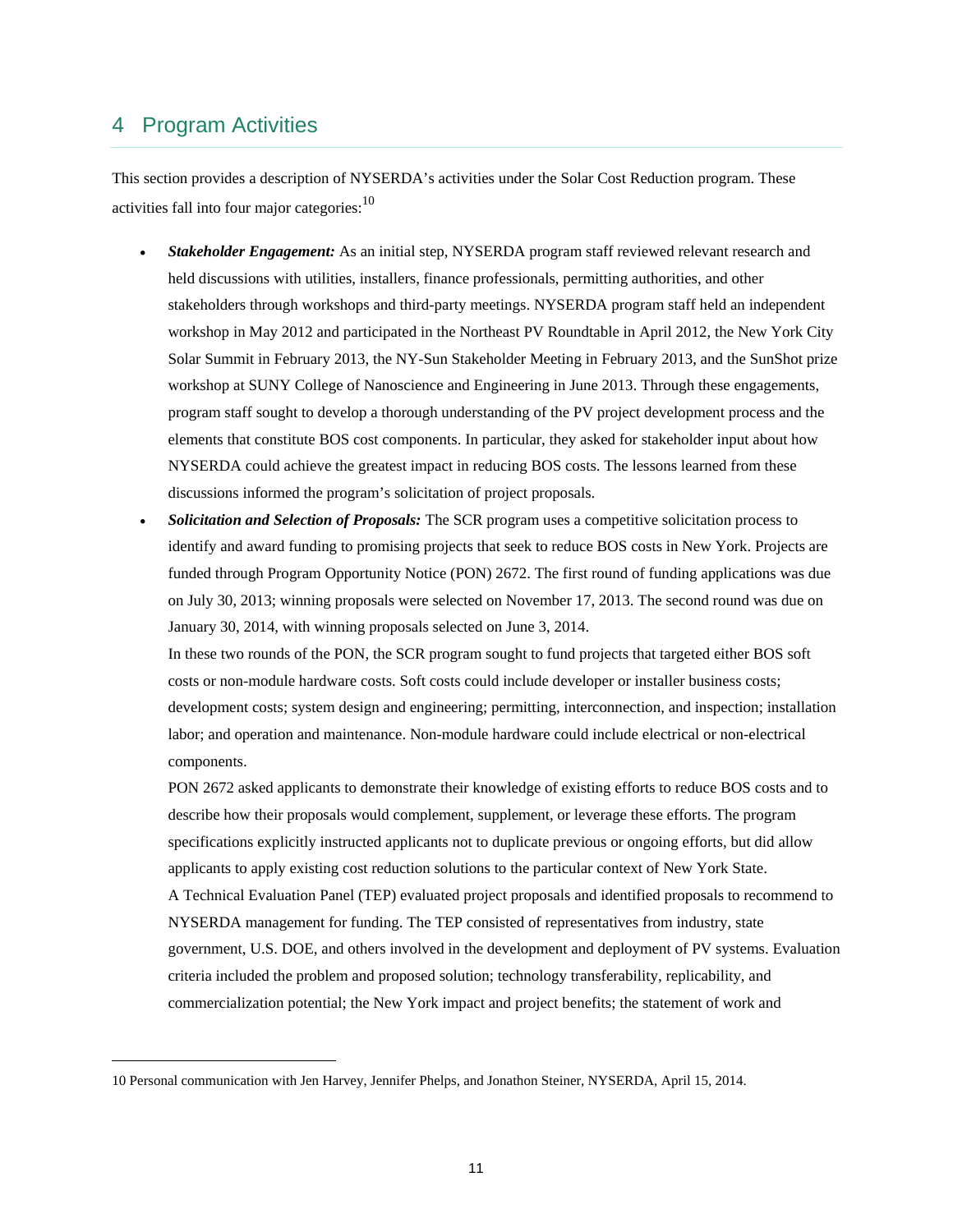## 4 Program Activities

This section provides a description of NYSERDA's activities under the Solar Cost Reduction program. These activities fall into four major categories: $10$ 

- *Stakeholder Engagement:* As an initial step, NYSERDA program staff reviewed relevant research and held discussions with utilities, installers, finance professionals, permitting authorities, and other stakeholders through workshops and third-party meetings. NYSERDA program staff held an independent workshop in May 2012 and participated in the Northeast PV Roundtable in April 2012, the New York City Solar Summit in February 2013, the NY-Sun Stakeholder Meeting in February 2013, and the SunShot prize workshop at SUNY College of Nanoscience and Engineering in June 2013. Through these engagements, program staff sought to develop a thorough understanding of the PV project development process and the elements that constitute BOS cost components. In particular, they asked for stakeholder input about how NYSERDA could achieve the greatest impact in reducing BOS costs. The lessons learned from these discussions informed the program's solicitation of project proposals.
- on July 30, 2013; winning proposals were selected on November 17, 2013. The second round was due on *Solicitation and Selection of Proposals:* The SCR program uses a competitive solicitation process to identify and award funding to promising projects that seek to reduce BOS costs in New York. Projects are funded through Program Opportunity Notice (PON) 2672. The first round of funding applications was due January 30, 2014, with winning proposals selected on June 3, 2014.

 In these two rounds of the PON, the SCR program sought to fund projects that targeted either BOS soft costs or non-module hardware costs. Soft costs could include developer or installer business costs; development costs; system design and engineering; permitting, interconnection, and inspection; installation labor; and operation and maintenance. Non-module hardware could include electrical or non-electrical components.

 PON 2672 asked applicants to demonstrate their knowledge of existing efforts to reduce BOS costs and to describe how their proposals would complement, supplement, or leverage these efforts. The program specifications explicitly instructed applicants not to duplicate previous or ongoing efforts, but did allow applicants to apply existing cost reduction solutions to the particular context of New York State. A Technical Evaluation Panel (TEP) evaluated project proposals and identified proposals to recommend to NYSERDA management for funding. The TEP consisted of representatives from industry, state government, U.S. DOE, and others involved in the development and deployment of PV systems. Evaluation criteria included the problem and proposed solution; technology transferability, replicability, and commercialization potential; the New York impact and project benefits; the statement of work and

<sup>10</sup> Personal communication with Jen Harvey, Jennifer Phelps, and Jonathon Steiner, NYSERDA, April 15, 2014.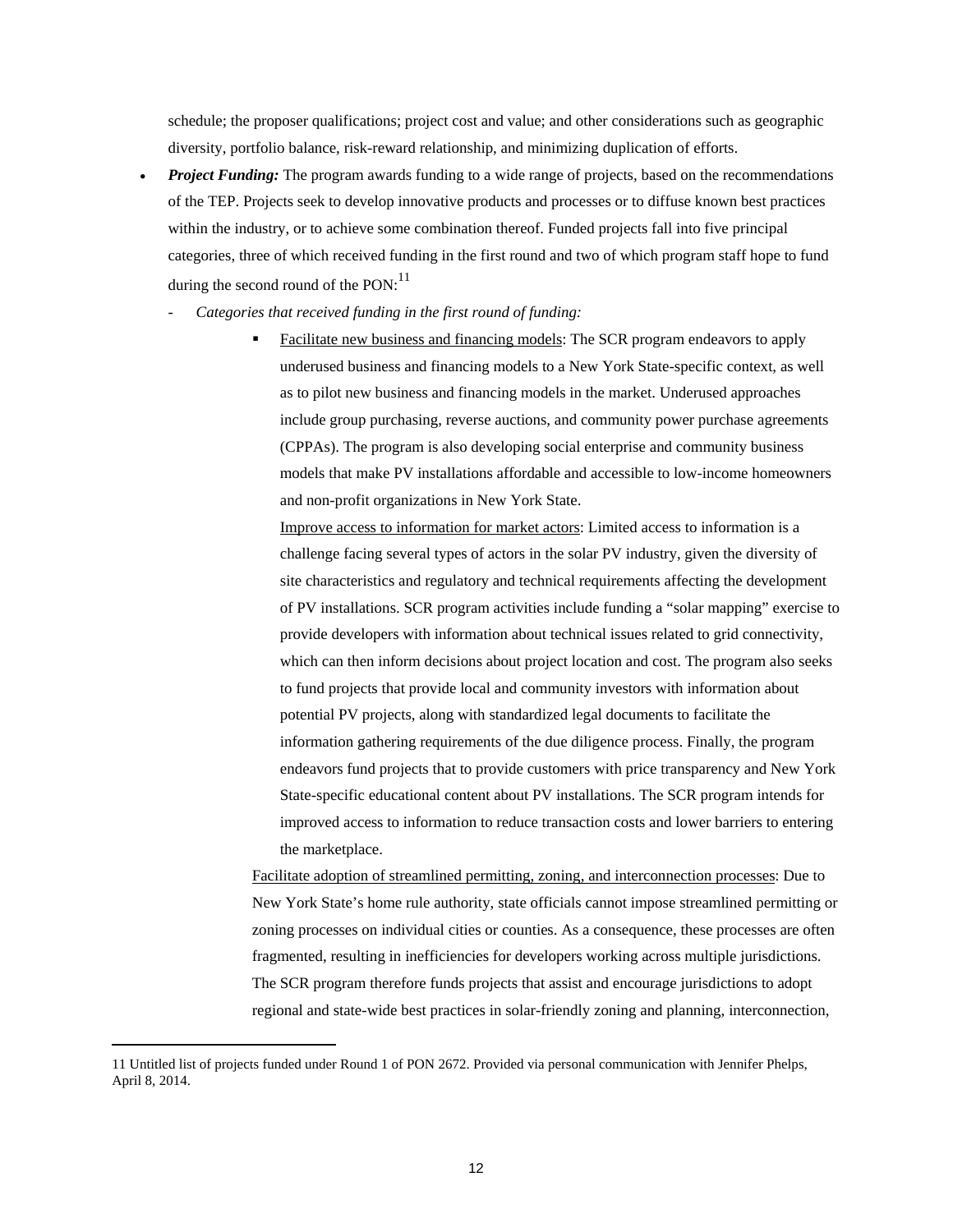schedule; the proposer qualifications; project cost and value; and other considerations such as geographic diversity, portfolio balance, risk-reward relationship, and minimizing duplication of efforts.

- categories, three of which received funding in the first round and two of which program staff hope to fund *Project Funding:* The program awards funding to a wide range of projects, based on the recommendations of the TEP. Projects seek to develop innovative products and processes or to diffuse known best practices within the industry, or to achieve some combination thereof. Funded projects fall into five principal during the second round of the  $PON:$ <sup>11</sup>
	- *Categories that received funding in the first round of funding:* 
		- underused business and financing models to a New York State-specific context, as well as to pilot new business and financing models in the market. Underused approaches and non-profit organizations in New York State. Facilitate new business and financing models: The SCR program endeavors to apply include group purchasing, reverse auctions, and community power purchase agreements (CPPAs). The program is also developing social enterprise and community business models that make PV installations affordable and accessible to low-income homeowners

 provide developers with information about technical issues related to grid connectivity, endeavors fund projects that to provide customers with price transparency and New York Improve access to information for market actors: Limited access to information is a challenge facing several types of actors in the solar PV industry, given the diversity of site characteristics and regulatory and technical requirements affecting the development of PV installations. SCR program activities include funding a "solar mapping" exercise to which can then inform decisions about project location and cost. The program also seeks to fund projects that provide local and community investors with information about potential PV projects, along with standardized legal documents to facilitate the information gathering requirements of the due diligence process. Finally, the program State-specific educational content about PV installations. The SCR program intends for improved access to information to reduce transaction costs and lower barriers to entering the marketplace.

Facilitate adoption of streamlined permitting, zoning, and interconnection processes: Due to New York State's home rule authority, state officials cannot impose streamlined permitting or zoning processes on individual cities or counties. As a consequence, these processes are often fragmented, resulting in inefficiencies for developers working across multiple jurisdictions. The SCR program therefore funds projects that assist and encourage jurisdictions to adopt regional and state-wide best practices in solar-friendly zoning and planning, interconnection,

<sup>11</sup> Untitled list of projects funded under Round 1 of PON 2672. Provided via personal communication with Jennifer Phelps, April 8, 2014.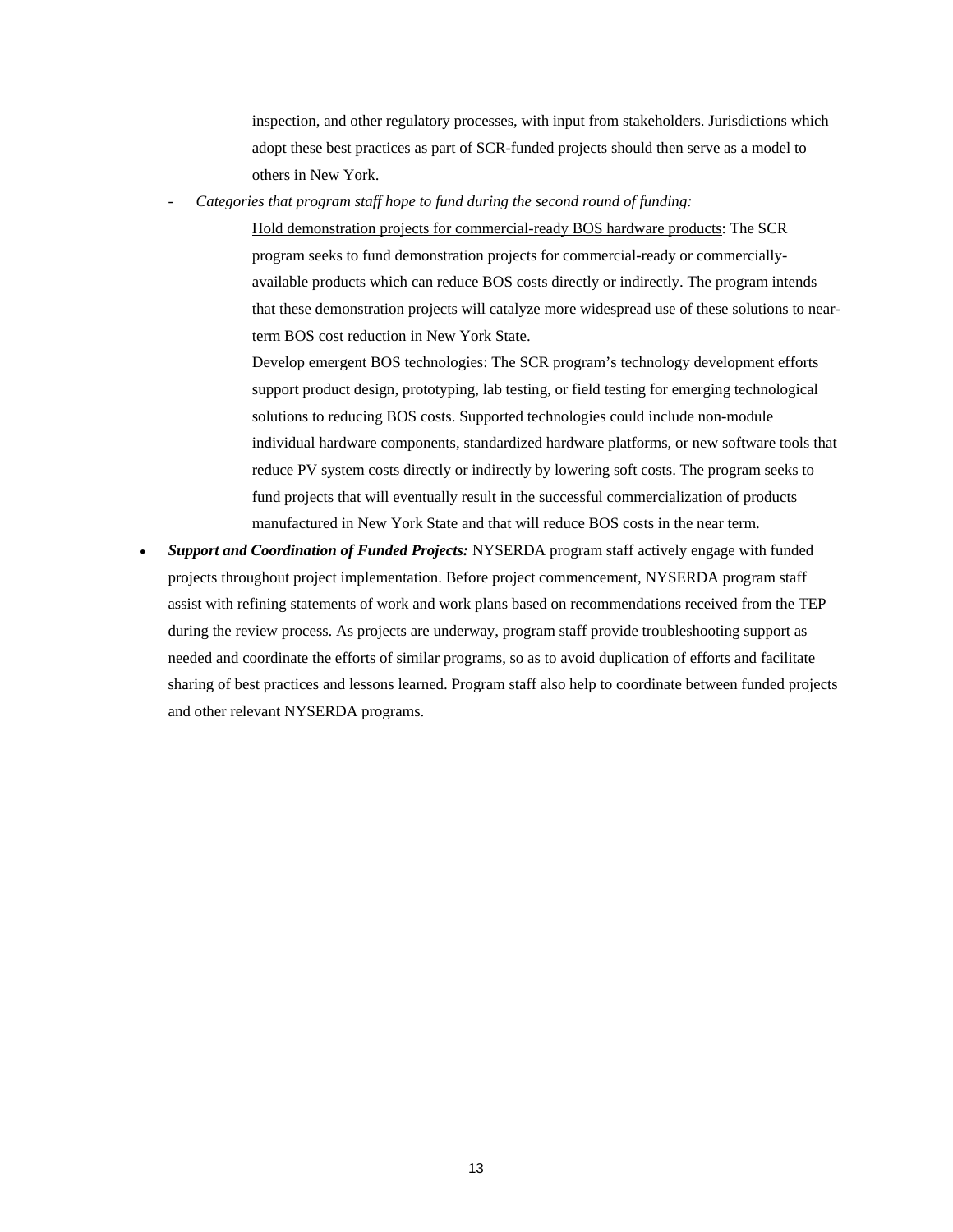inspection, and other regulatory processes, with input from stakeholders. Jurisdictions which adopt these best practices as part of SCR-funded projects should then serve as a model to others in New York.

*- Categories that program staff hope to fund during the second round of funding:* 

Hold demonstration projects for commercial-ready BOS hardware products: The SCR program seeks to fund demonstration projects for commercial-ready or commerciallyavailable products which can reduce BOS costs directly or indirectly. The program intends that these demonstration projects will catalyze more widespread use of these solutions to nearterm BOS cost reduction in New York State.

 manufactured in New York State and that will reduce BOS costs in the near term. Develop emergent BOS technologies: The SCR program's technology development efforts support product design, prototyping, lab testing, or field testing for emerging technological solutions to reducing BOS costs. Supported technologies could include non-module individual hardware components, standardized hardware platforms, or new software tools that reduce PV system costs directly or indirectly by lowering soft costs. The program seeks to fund projects that will eventually result in the successful commercialization of products

 projects throughout project implementation. Before project commencement, NYSERDA program staff sharing of best practices and lessons learned. Program staff also help to coordinate between funded projects *Support and Coordination of Funded Projects:* NYSERDA program staff actively engage with funded assist with refining statements of work and work plans based on recommendations received from the TEP during the review process. As projects are underway, program staff provide troubleshooting support as needed and coordinate the efforts of similar programs, so as to avoid duplication of efforts and facilitate and other relevant NYSERDA programs.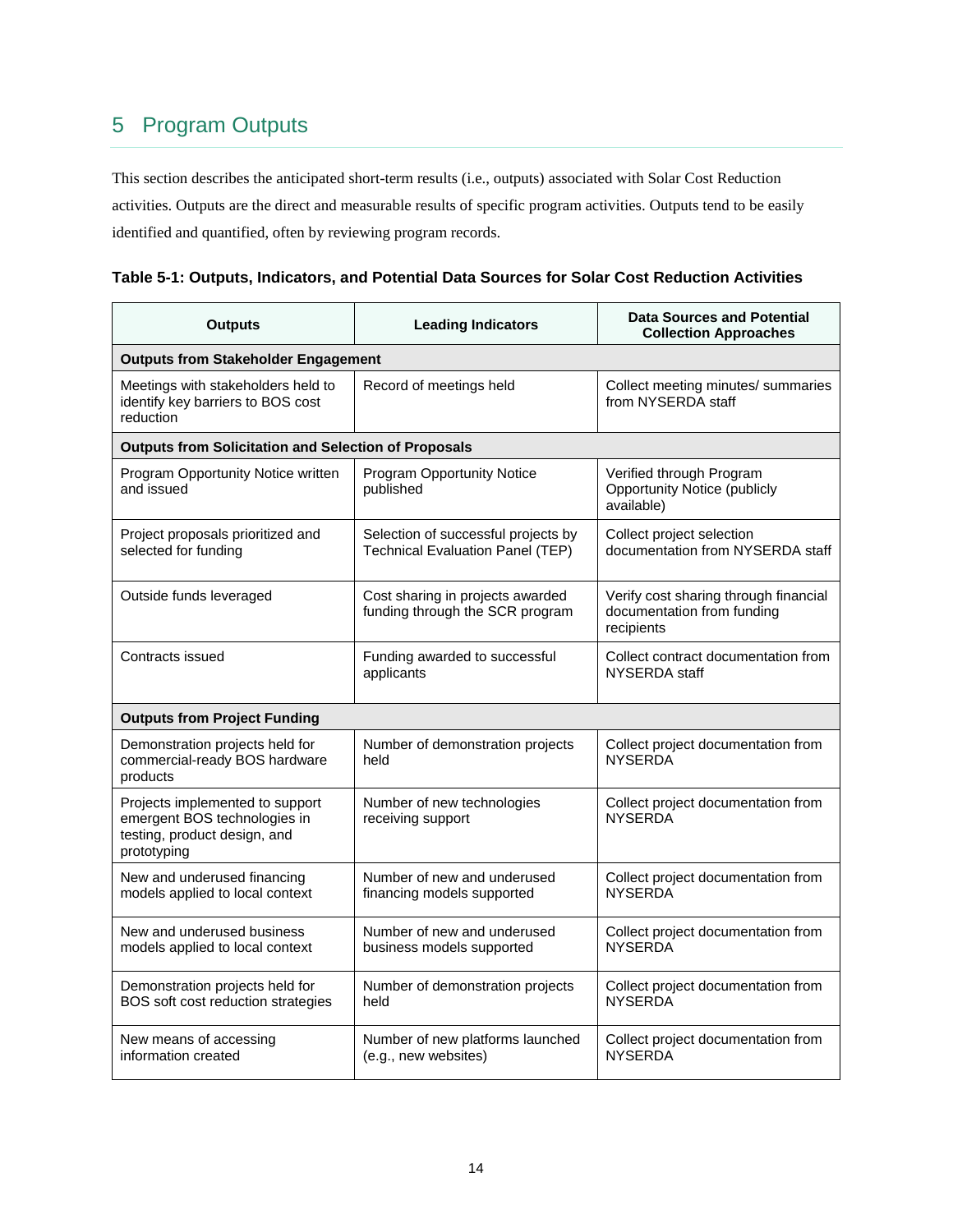# 5 Program Outputs

This section describes the anticipated short-term results (i.e., outputs) associated with Solar Cost Reduction activities. Outputs are the direct and measurable results of specific program activities. Outputs tend to be easily identified and quantified, often by reviewing program records.

| Table 5-1: Outputs, Indicators, and Potential Data Sources for Solar Cost Reduction Activities |
|------------------------------------------------------------------------------------------------|
|------------------------------------------------------------------------------------------------|

| <b>Outputs</b>                                                                                                 | <b>Leading Indicators</b>                                                      | <b>Data Sources and Potential</b><br><b>Collection Approaches</b>                 |  |  |
|----------------------------------------------------------------------------------------------------------------|--------------------------------------------------------------------------------|-----------------------------------------------------------------------------------|--|--|
| <b>Outputs from Stakeholder Engagement</b>                                                                     |                                                                                |                                                                                   |  |  |
| Meetings with stakeholders held to<br>identify key barriers to BOS cost<br>reduction                           | Record of meetings held                                                        | Collect meeting minutes/ summaries<br>from NYSERDA staff                          |  |  |
| <b>Outputs from Solicitation and Selection of Proposals</b>                                                    |                                                                                |                                                                                   |  |  |
| Program Opportunity Notice written<br>and issued                                                               | <b>Program Opportunity Notice</b><br>published                                 | Verified through Program<br><b>Opportunity Notice (publicly</b><br>available)     |  |  |
| Project proposals prioritized and<br>selected for funding                                                      | Selection of successful projects by<br><b>Technical Evaluation Panel (TEP)</b> | Collect project selection<br>documentation from NYSERDA staff                     |  |  |
| Outside funds leveraged                                                                                        | Cost sharing in projects awarded<br>funding through the SCR program            | Verify cost sharing through financial<br>documentation from funding<br>recipients |  |  |
| Contracts issued                                                                                               | Funding awarded to successful<br>applicants                                    | Collect contract documentation from<br>NYSERDA staff                              |  |  |
| <b>Outputs from Project Funding</b>                                                                            |                                                                                |                                                                                   |  |  |
| Demonstration projects held for<br>commercial-ready BOS hardware<br>products                                   | Number of demonstration projects<br>held                                       | Collect project documentation from<br><b>NYSERDA</b>                              |  |  |
| Projects implemented to support<br>emergent BOS technologies in<br>testing, product design, and<br>prototyping | Number of new technologies<br>receiving support                                | Collect project documentation from<br><b>NYSERDA</b>                              |  |  |
| New and underused financing<br>models applied to local context                                                 | Number of new and underused<br>financing models supported                      | Collect project documentation from<br><b>NYSERDA</b>                              |  |  |
| New and underused business<br>models applied to local context                                                  | Number of new and underused<br>business models supported                       | Collect project documentation from<br><b>NYSERDA</b>                              |  |  |
| Demonstration projects held for<br>BOS soft cost reduction strategies                                          | Number of demonstration projects<br>held                                       | Collect project documentation from<br><b>NYSERDA</b>                              |  |  |
| New means of accessing<br>information created                                                                  | Number of new platforms launched<br>(e.g., new websites)                       | Collect project documentation from<br><b>NYSERDA</b>                              |  |  |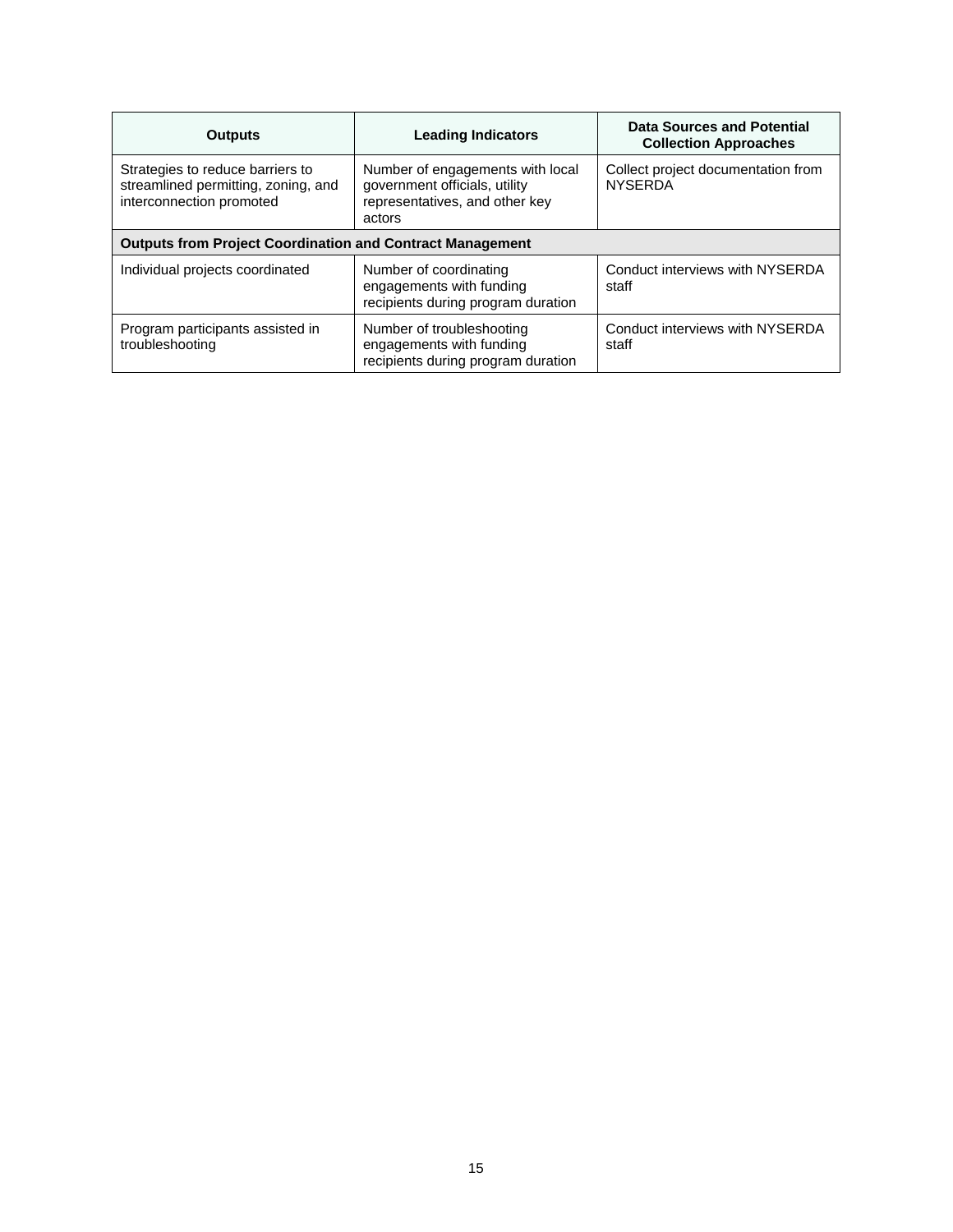| <b>Outputs</b>                                                                                      | <b>Leading Indicators</b>                                                                                     | Data Sources and Potential<br><b>Collection Approaches</b> |  |  |
|-----------------------------------------------------------------------------------------------------|---------------------------------------------------------------------------------------------------------------|------------------------------------------------------------|--|--|
| Strategies to reduce barriers to<br>streamlined permitting, zoning, and<br>interconnection promoted | Number of engagements with local<br>government officials, utility<br>representatives, and other key<br>actors | Collect project documentation from<br><b>NYSERDA</b>       |  |  |
| <b>Outputs from Project Coordination and Contract Management</b>                                    |                                                                                                               |                                                            |  |  |
| Individual projects coordinated                                                                     | Number of coordinating<br>engagements with funding<br>recipients during program duration                      | Conduct interviews with NYSERDA<br>staff                   |  |  |
| Program participants assisted in<br>troubleshooting                                                 | Number of troubleshooting<br>engagements with funding<br>recipients during program duration                   | Conduct interviews with NYSERDA<br>staff                   |  |  |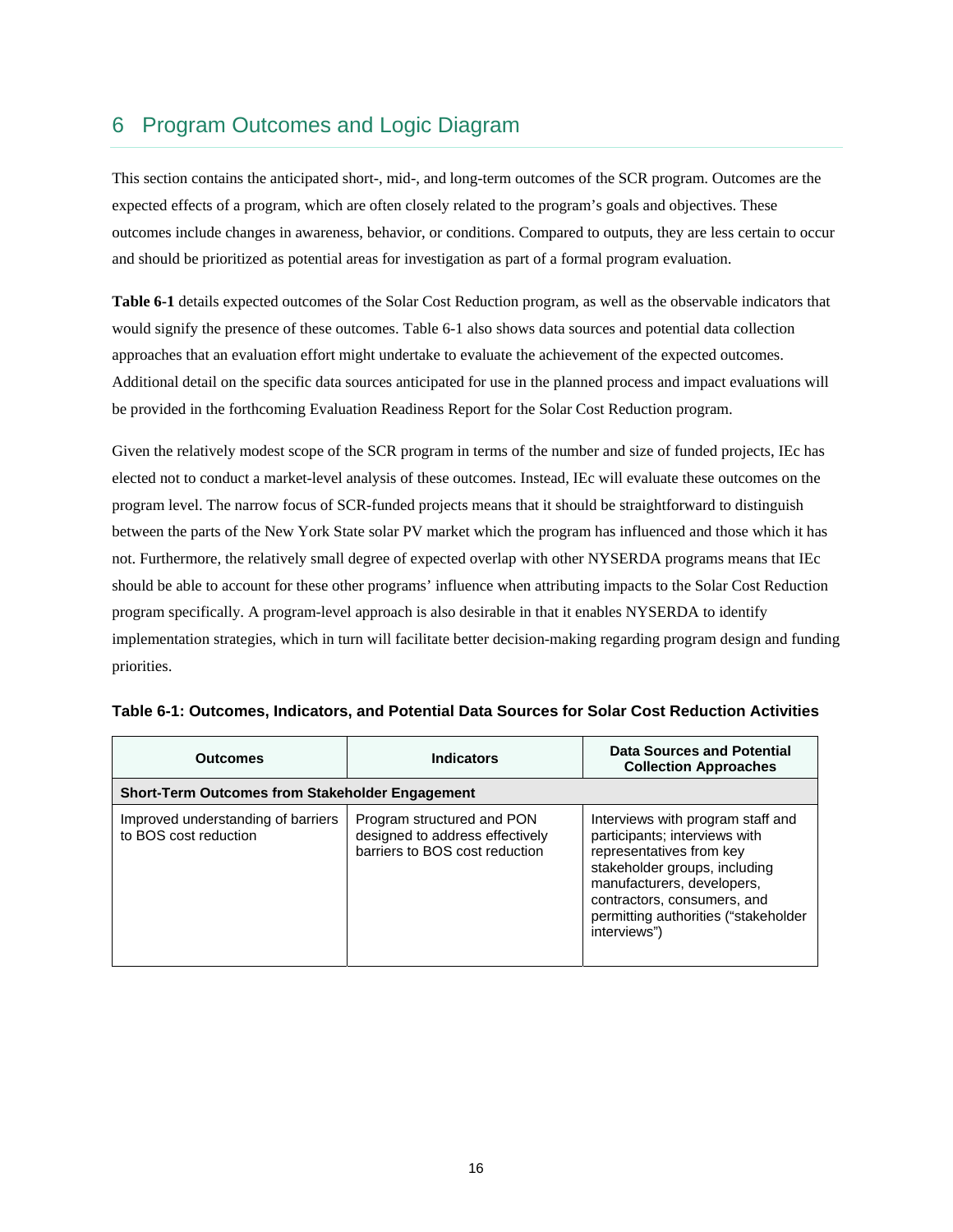# 6 Program Outcomes and Logic Diagram

 outcomes include changes in awareness, behavior, or conditions. Compared to outputs, they are less certain to occur This section contains the anticipated short-, mid-, and long-term outcomes of the SCR program. Outcomes are the expected effects of a program, which are often closely related to the program's goals and objectives. These and should be prioritized as potential areas for investigation as part of a formal program evaluation.

 be provided in the forthcoming Evaluation Readiness Report for the Solar Cost Reduction program. **Table 6-1** details expected outcomes of the Solar Cost Reduction program, as well as the observable indicators that would signify the presence of these outcomes. Table 6-1 also shows data sources and potential data collection approaches that an evaluation effort might undertake to evaluate the achievement of the expected outcomes. Additional detail on the specific data sources anticipated for use in the planned process and impact evaluations will

Given the relatively modest scope of the SCR program in terms of the number and size of funded projects, IEc has elected not to conduct a market-level analysis of these outcomes. Instead, IEc will evaluate these outcomes on the program level. The narrow focus of SCR-funded projects means that it should be straightforward to distinguish between the parts of the New York State solar PV market which the program has influenced and those which it has not. Furthermore, the relatively small degree of expected overlap with other NYSERDA programs means that IEc should be able to account for these other programs' influence when attributing impacts to the Solar Cost Reduction program specifically. A program-level approach is also desirable in that it enables NYSERDA to identify implementation strategies, which in turn will facilitate better decision-making regarding program design and funding priorities.

| <b>Outcomes</b>                                             | <b>Indicators</b>                                                                               | Data Sources and Potential<br><b>Collection Approaches</b>                                                                                                                                                                                           |
|-------------------------------------------------------------|-------------------------------------------------------------------------------------------------|------------------------------------------------------------------------------------------------------------------------------------------------------------------------------------------------------------------------------------------------------|
| <b>Short-Term Outcomes from Stakeholder Engagement</b>      |                                                                                                 |                                                                                                                                                                                                                                                      |
| Improved understanding of barriers<br>to BOS cost reduction | Program structured and PON<br>designed to address effectively<br>barriers to BOS cost reduction | Interviews with program staff and<br>participants; interviews with<br>representatives from key<br>stakeholder groups, including<br>manufacturers, developers,<br>contractors, consumers, and<br>permitting authorities ("stakeholder<br>interviews") |

| Table 6-1: Outcomes, Indicators, and Potential Data Sources for Solar Cost Reduction Activities |  |  |  |  |  |  |
|-------------------------------------------------------------------------------------------------|--|--|--|--|--|--|
|-------------------------------------------------------------------------------------------------|--|--|--|--|--|--|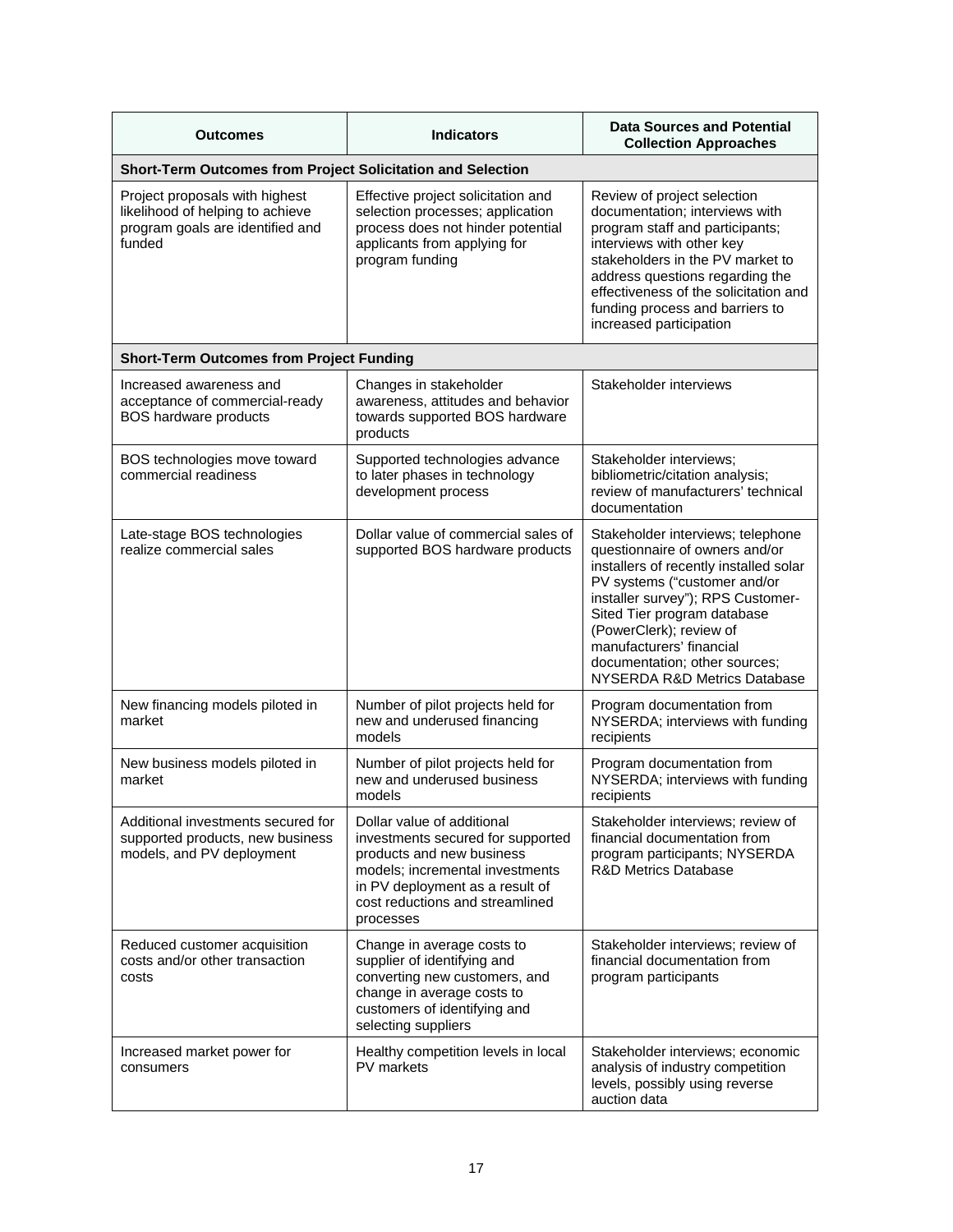| <b>Outcomes</b>                                                                                                  | <b>Indicators</b>                                                                                                                                                                                                  | <b>Data Sources and Potential</b><br><b>Collection Approaches</b>                                                                                                                                                                                                                                                                         |  |  |
|------------------------------------------------------------------------------------------------------------------|--------------------------------------------------------------------------------------------------------------------------------------------------------------------------------------------------------------------|-------------------------------------------------------------------------------------------------------------------------------------------------------------------------------------------------------------------------------------------------------------------------------------------------------------------------------------------|--|--|
| Short-Term Outcomes from Project Solicitation and Selection                                                      |                                                                                                                                                                                                                    |                                                                                                                                                                                                                                                                                                                                           |  |  |
| Project proposals with highest<br>likelihood of helping to achieve<br>program goals are identified and<br>funded | Effective project solicitation and<br>selection processes; application<br>process does not hinder potential<br>applicants from applying for<br>program funding                                                     | Review of project selection<br>documentation; interviews with<br>program staff and participants;<br>interviews with other key<br>stakeholders in the PV market to<br>address questions regarding the<br>effectiveness of the solicitation and<br>funding process and barriers to<br>increased participation                               |  |  |
| <b>Short-Term Outcomes from Project Funding</b>                                                                  |                                                                                                                                                                                                                    |                                                                                                                                                                                                                                                                                                                                           |  |  |
| Increased awareness and<br>acceptance of commercial-ready<br><b>BOS hardware products</b>                        | Changes in stakeholder<br>awareness, attitudes and behavior<br>towards supported BOS hardware<br>products                                                                                                          | Stakeholder interviews                                                                                                                                                                                                                                                                                                                    |  |  |
| BOS technologies move toward<br>commercial readiness                                                             | Supported technologies advance<br>to later phases in technology<br>development process                                                                                                                             | Stakeholder interviews;<br>bibliometric/citation analysis;<br>review of manufacturers' technical<br>documentation                                                                                                                                                                                                                         |  |  |
| Late-stage BOS technologies<br>realize commercial sales                                                          | Dollar value of commercial sales of<br>supported BOS hardware products                                                                                                                                             | Stakeholder interviews; telephone<br>questionnaire of owners and/or<br>installers of recently installed solar<br>PV systems ("customer and/or<br>installer survey"); RPS Customer-<br>Sited Tier program database<br>(PowerClerk); review of<br>manufacturers' financial<br>documentation; other sources;<br>NYSERDA R&D Metrics Database |  |  |
| New financing models piloted in<br>market                                                                        | Number of pilot projects held for<br>new and underused financing<br>models                                                                                                                                         | Program documentation from<br>NYSERDA; interviews with funding<br>recipients                                                                                                                                                                                                                                                              |  |  |
| New business models piloted in<br>market                                                                         | Number of pilot projects held for<br>new and underused business<br>models                                                                                                                                          | Program documentation from<br>NYSERDA; interviews with funding<br>recipients                                                                                                                                                                                                                                                              |  |  |
| Additional investments secured for<br>supported products, new business<br>models, and PV deployment              | Dollar value of additional<br>investments secured for supported<br>products and new business<br>models; incremental investments<br>in PV deployment as a result of<br>cost reductions and streamlined<br>processes | Stakeholder interviews; review of<br>financial documentation from<br>program participants; NYSERDA<br><b>R&amp;D Metrics Database</b>                                                                                                                                                                                                     |  |  |
| Reduced customer acquisition<br>costs and/or other transaction<br>costs                                          | Change in average costs to<br>supplier of identifying and<br>converting new customers, and<br>change in average costs to<br>customers of identifying and<br>selecting suppliers                                    | Stakeholder interviews; review of<br>financial documentation from<br>program participants                                                                                                                                                                                                                                                 |  |  |
| Increased market power for<br>consumers                                                                          | Healthy competition levels in local<br>PV markets                                                                                                                                                                  | Stakeholder interviews; economic<br>analysis of industry competition<br>levels, possibly using reverse<br>auction data                                                                                                                                                                                                                    |  |  |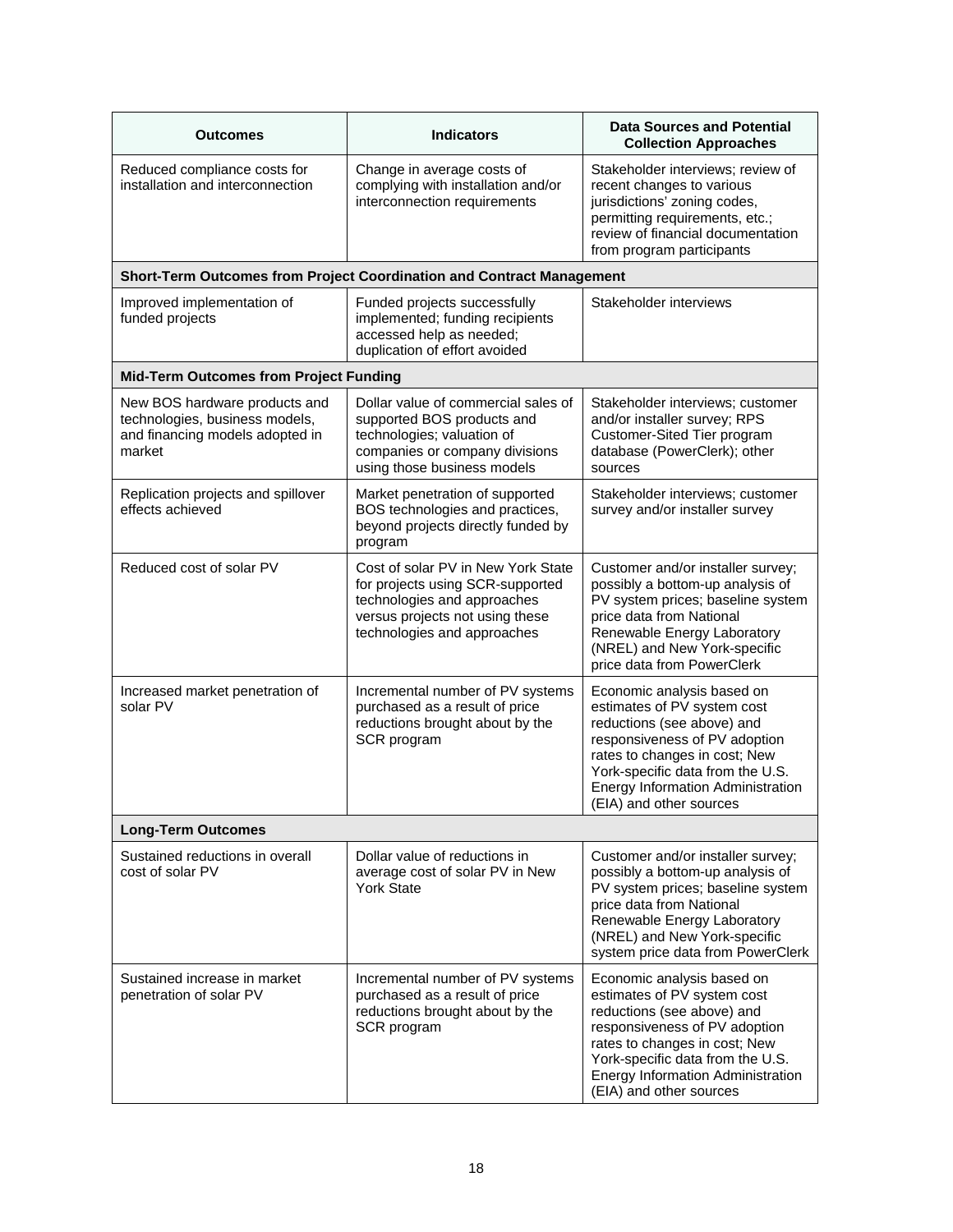| Outcomes                                                                                                     | <b>Indicators</b>                                                                                                                                                       | <b>Data Sources and Potential</b><br><b>Collection Approaches</b>                                                                                                                                                                                                    |
|--------------------------------------------------------------------------------------------------------------|-------------------------------------------------------------------------------------------------------------------------------------------------------------------------|----------------------------------------------------------------------------------------------------------------------------------------------------------------------------------------------------------------------------------------------------------------------|
| Reduced compliance costs for<br>installation and interconnection                                             | Change in average costs of<br>complying with installation and/or<br>interconnection requirements                                                                        | Stakeholder interviews; review of<br>recent changes to various<br>jurisdictions' zoning codes,<br>permitting requirements, etc.;<br>review of financial documentation<br>from program participants                                                                   |
|                                                                                                              | Short-Term Outcomes from Project Coordination and Contract Management                                                                                                   |                                                                                                                                                                                                                                                                      |
| Improved implementation of<br>funded projects                                                                | Funded projects successfully<br>implemented; funding recipients<br>accessed help as needed;<br>duplication of effort avoided                                            | Stakeholder interviews                                                                                                                                                                                                                                               |
| <b>Mid-Term Outcomes from Project Funding</b>                                                                |                                                                                                                                                                         |                                                                                                                                                                                                                                                                      |
| New BOS hardware products and<br>technologies, business models,<br>and financing models adopted in<br>market | Dollar value of commercial sales of<br>supported BOS products and<br>technologies; valuation of<br>companies or company divisions<br>using those business models        | Stakeholder interviews; customer<br>and/or installer survey; RPS<br>Customer-Sited Tier program<br>database (PowerClerk); other<br>sources                                                                                                                           |
| Replication projects and spillover<br>effects achieved                                                       | Market penetration of supported<br>BOS technologies and practices,<br>beyond projects directly funded by<br>program                                                     | Stakeholder interviews; customer<br>survey and/or installer survey                                                                                                                                                                                                   |
| Reduced cost of solar PV                                                                                     | Cost of solar PV in New York State<br>for projects using SCR-supported<br>technologies and approaches<br>versus projects not using these<br>technologies and approaches | Customer and/or installer survey;<br>possibly a bottom-up analysis of<br>PV system prices; baseline system<br>price data from National<br>Renewable Energy Laboratory<br>(NREL) and New York-specific<br>price data from PowerClerk                                  |
| Increased market penetration of<br>solar PV                                                                  | Incremental number of PV systems<br>purchased as a result of price<br>reductions brought about by the<br>SCR program                                                    | Economic analysis based on<br>estimates of PV system cost<br>reductions (see above) and<br>responsiveness of PV adoption<br>rates to changes in cost; New<br>York-specific data from the U.S.<br><b>Energy Information Administration</b><br>(EIA) and other sources |
| <b>Long-Term Outcomes</b>                                                                                    |                                                                                                                                                                         |                                                                                                                                                                                                                                                                      |
| Sustained reductions in overall<br>cost of solar PV                                                          | Dollar value of reductions in<br>average cost of solar PV in New<br><b>York State</b>                                                                                   | Customer and/or installer survey;<br>possibly a bottom-up analysis of<br>PV system prices; baseline system<br>price data from National<br>Renewable Energy Laboratory<br>(NREL) and New York-specific<br>system price data from PowerClerk                           |
| Sustained increase in market<br>penetration of solar PV                                                      | Incremental number of PV systems<br>purchased as a result of price<br>reductions brought about by the<br>SCR program                                                    | Economic analysis based on<br>estimates of PV system cost<br>reductions (see above) and<br>responsiveness of PV adoption<br>rates to changes in cost; New<br>York-specific data from the U.S.<br>Energy Information Administration<br>(EIA) and other sources        |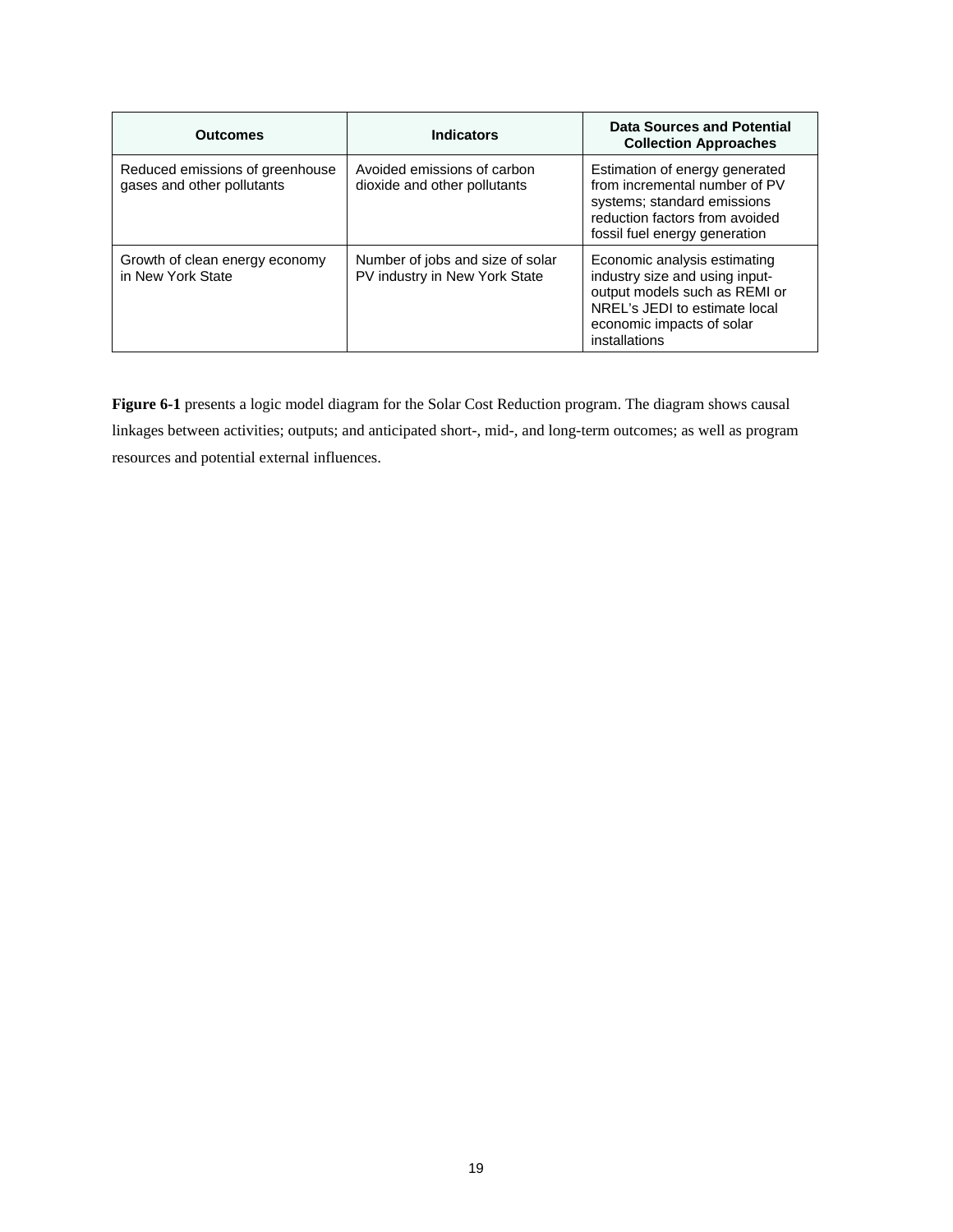| <b>Outcomes</b>                                               | <b>Indicators</b>                                                 | Data Sources and Potential<br><b>Collection Approaches</b>                                                                                                                     |
|---------------------------------------------------------------|-------------------------------------------------------------------|--------------------------------------------------------------------------------------------------------------------------------------------------------------------------------|
| Reduced emissions of greenhouse<br>gases and other pollutants | Avoided emissions of carbon<br>dioxide and other pollutants       | Estimation of energy generated<br>from incremental number of PV<br>systems; standard emissions<br>reduction factors from avoided<br>fossil fuel energy generation              |
| Growth of clean energy economy<br>in New York State           | Number of jobs and size of solar<br>PV industry in New York State | Economic analysis estimating<br>industry size and using input-<br>output models such as REMI or<br>NREL's JEDI to estimate local<br>economic impacts of solar<br>installations |

**Figure 6-1** presents a logic model diagram for the Solar Cost Reduction program. The diagram shows causal linkages between activities; outputs; and anticipated short-, mid-, and long-term outcomes; as well as program resources and potential external influences.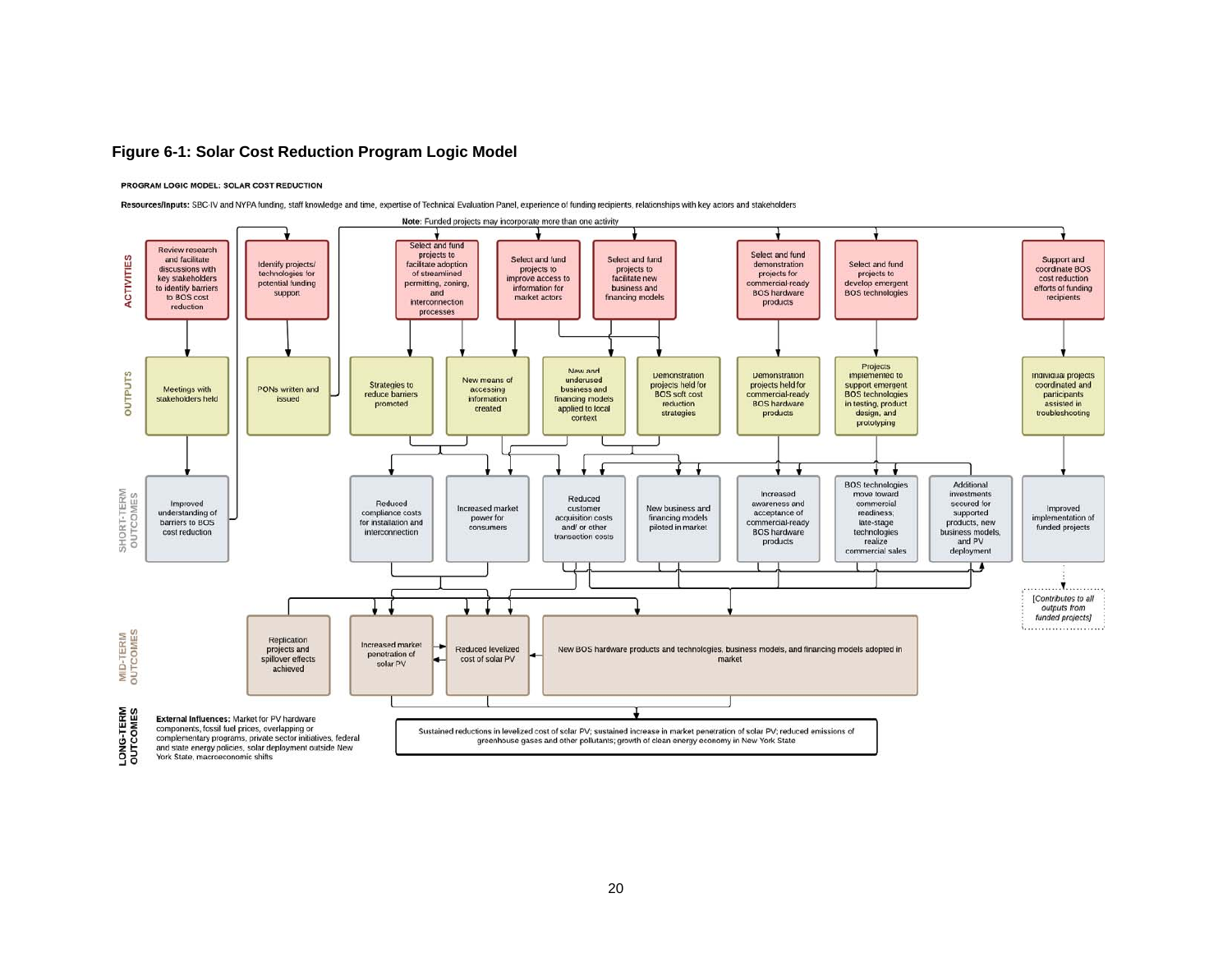#### **Figure 6-1: Solar Cost Reduction Program Logic Model**

#### PROGRAM LOGIC MODEL: SOLAR COST REDUCTION

Resources/Inputs: SBC-IV and NYPA funding, staff knowledge and time, expertise of Technical Evaluation Panel, experience of funding recipients, relationships with key actors and stakeholders

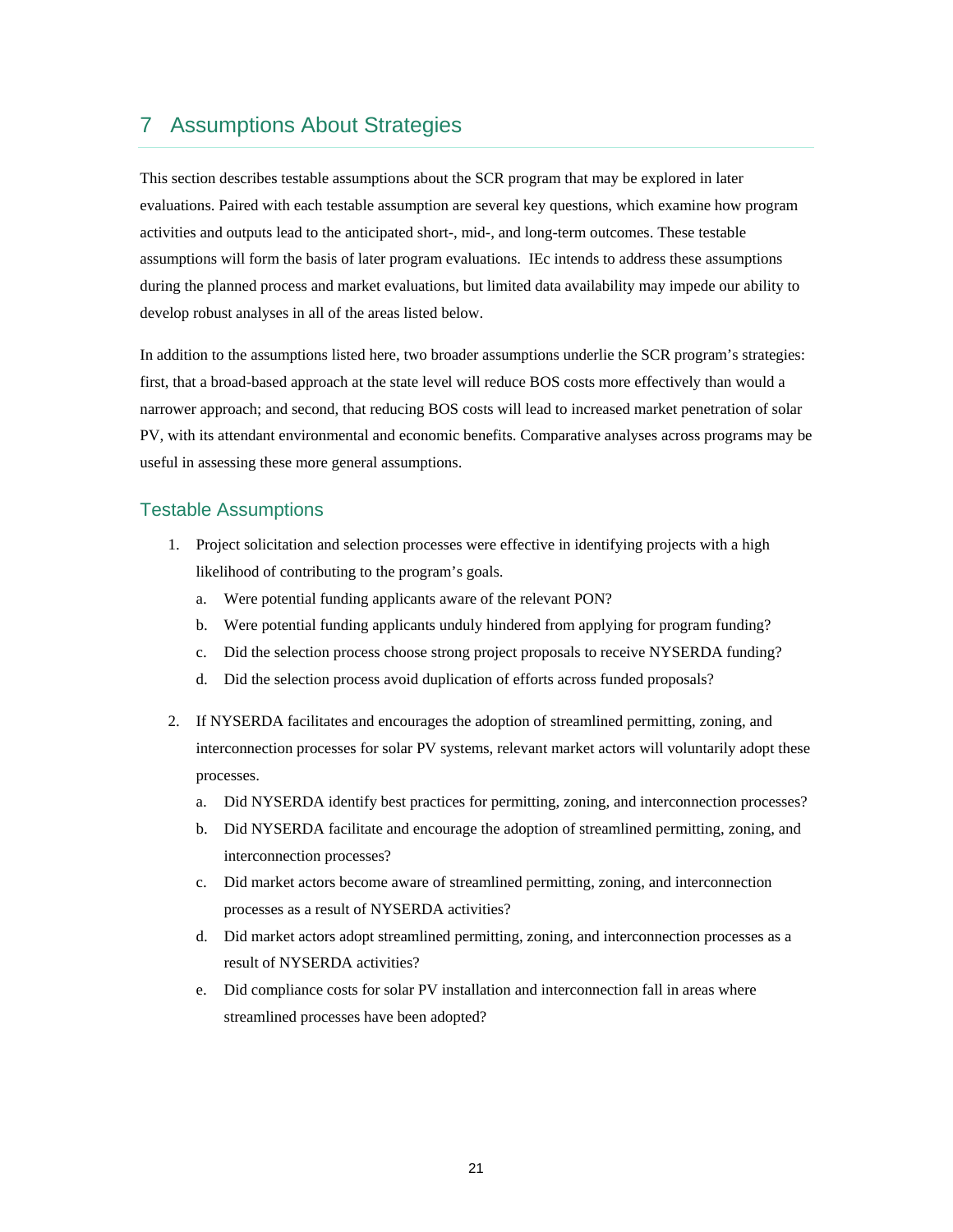## 7 Assumptions About Strategies

 evaluations. Paired with each testable assumption are several key questions, which examine how program This section describes testable assumptions about the SCR program that may be explored in later activities and outputs lead to the anticipated short-, mid-, and long-term outcomes. These testable assumptions will form the basis of later program evaluations. IEc intends to address these assumptions during the planned process and market evaluations, but limited data availability may impede our ability to develop robust analyses in all of the areas listed below.

 narrower approach; and second, that reducing BOS costs will lead to increased market penetration of solar In addition to the assumptions listed here, two broader assumptions underlie the SCR program's strategies: first, that a broad-based approach at the state level will reduce BOS costs more effectively than would a PV, with its attendant environmental and economic benefits. Comparative analyses across programs may be useful in assessing these more general assumptions.

### Testable Assumptions

- 1. Project solicitation and selection processes were effective in identifying projects with a high likelihood of contributing to the program's goals.
	- a. Were potential funding applicants aware of the relevant PON?
	- b. Were potential funding applicants unduly hindered from applying for program funding?
	- c. Did the selection process choose strong project proposals to receive NYSERDA funding?
	- d. Did the selection process avoid duplication of efforts across funded proposals?
- 2. If NYSERDA facilitates and encourages the adoption of streamlined permitting, zoning, and interconnection processes for solar PV systems, relevant market actors will voluntarily adopt these processes.
	- a. Did NYSERDA identify best practices for permitting, zoning, and interconnection processes?
	- interconnection processes? b. Did NYSERDA facilitate and encourage the adoption of streamlined permitting, zoning, and
	- c. Did market actors become aware of streamlined permitting, zoning, and interconnection processes as a result of NYSERDA activities?
	- result of NYSERDA activities? d. Did market actors adopt streamlined permitting, zoning, and interconnection processes as a
	- e. Did compliance costs for solar PV installation and interconnection fall in areas where streamlined processes have been adopted?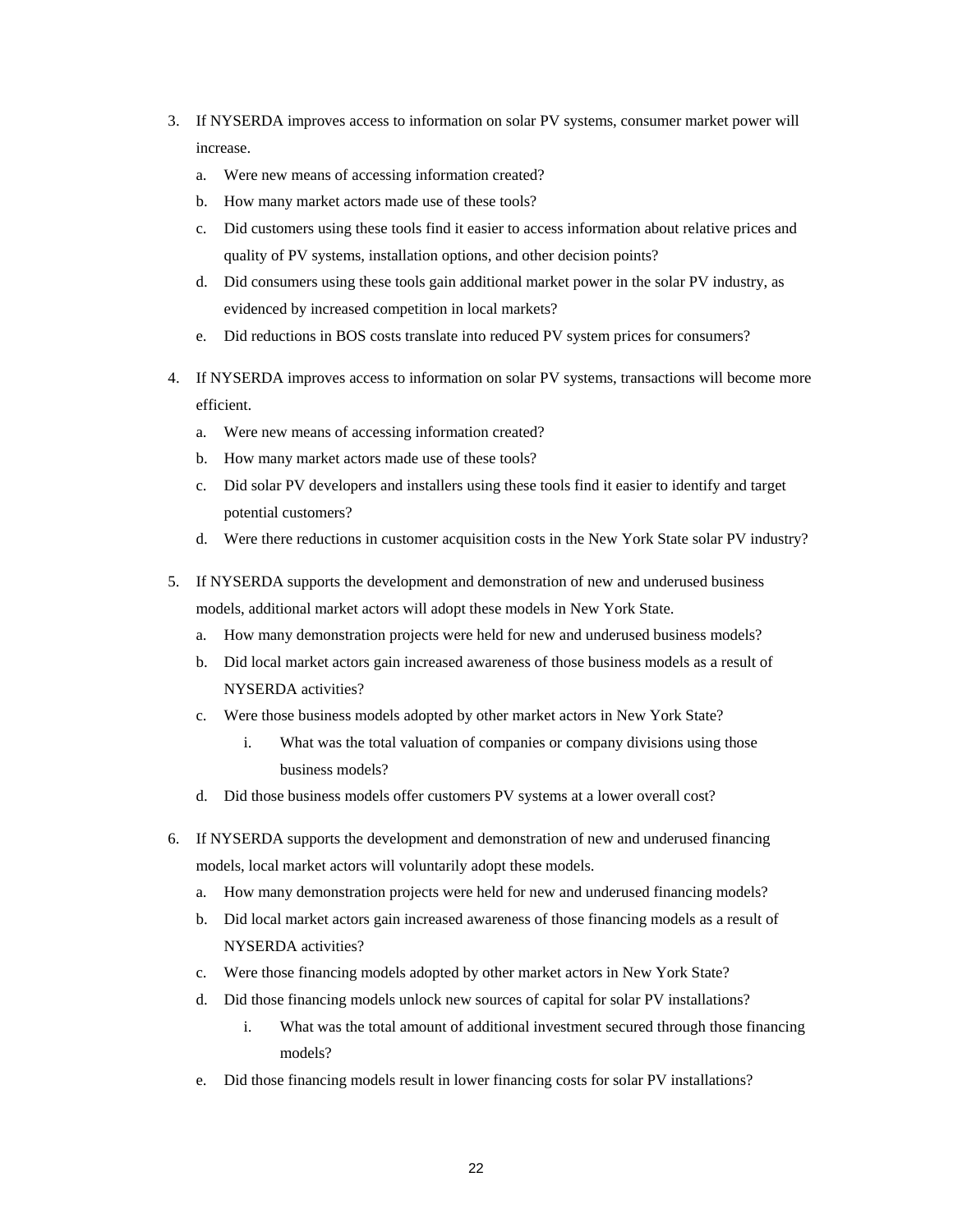- 3. If NYSERDA improves access to information on solar PV systems, consumer market power will increase.
	- a. Were new means of accessing information created?
	- b. How many market actors made use of these tools?
	- c. Did customers using these tools find it easier to access information about relative prices and quality of PV systems, installation options, and other decision points?
	- d. Did consumers using these tools gain additional market power in the solar PV industry, as evidenced by increased competition in local markets?
	- e. Did reductions in BOS costs translate into reduced PV system prices for consumers?
- 4. If NYSERDA improves access to information on solar PV systems, transactions will become more efficient.
	- a. Were new means of accessing information created?
	- b. How many market actors made use of these tools?
	- c. Did solar PV developers and installers using these tools find it easier to identify and target potential customers?
	- d. Were there reductions in customer acquisition costs in the New York State solar PV industry?
- 5. If NYSERDA supports the development and demonstration of new and underused business models, additional market actors will adopt these models in New York State.
	- How many demonstration projects were held for new and underused business models?
	- b. Did local market actors gain increased awareness of those business models as a result of NYSERDA activities?
	- c. Were those business models adopted by other market actors in New York State?
		- i. What was the total valuation of companies or company divisions using those business models?
	- d. Did those business models offer customers PV systems at a lower overall cost?
- 6. If NYSERDA supports the development and demonstration of new and underused financing models, local market actors will voluntarily adopt these models.
	- a. How many demonstration projects were held for new and underused financing models?
	- b. Did local market actors gain increased awareness of those financing models as a result of NYSERDA activities?
	- c. Were those financing models adopted by other market actors in New York State?
	- d. Did those financing models unlock new sources of capital for solar PV installations?
		- i. What was the total amount of additional investment secured through those financing models?
	- e. Did those financing models result in lower financing costs for solar PV installations?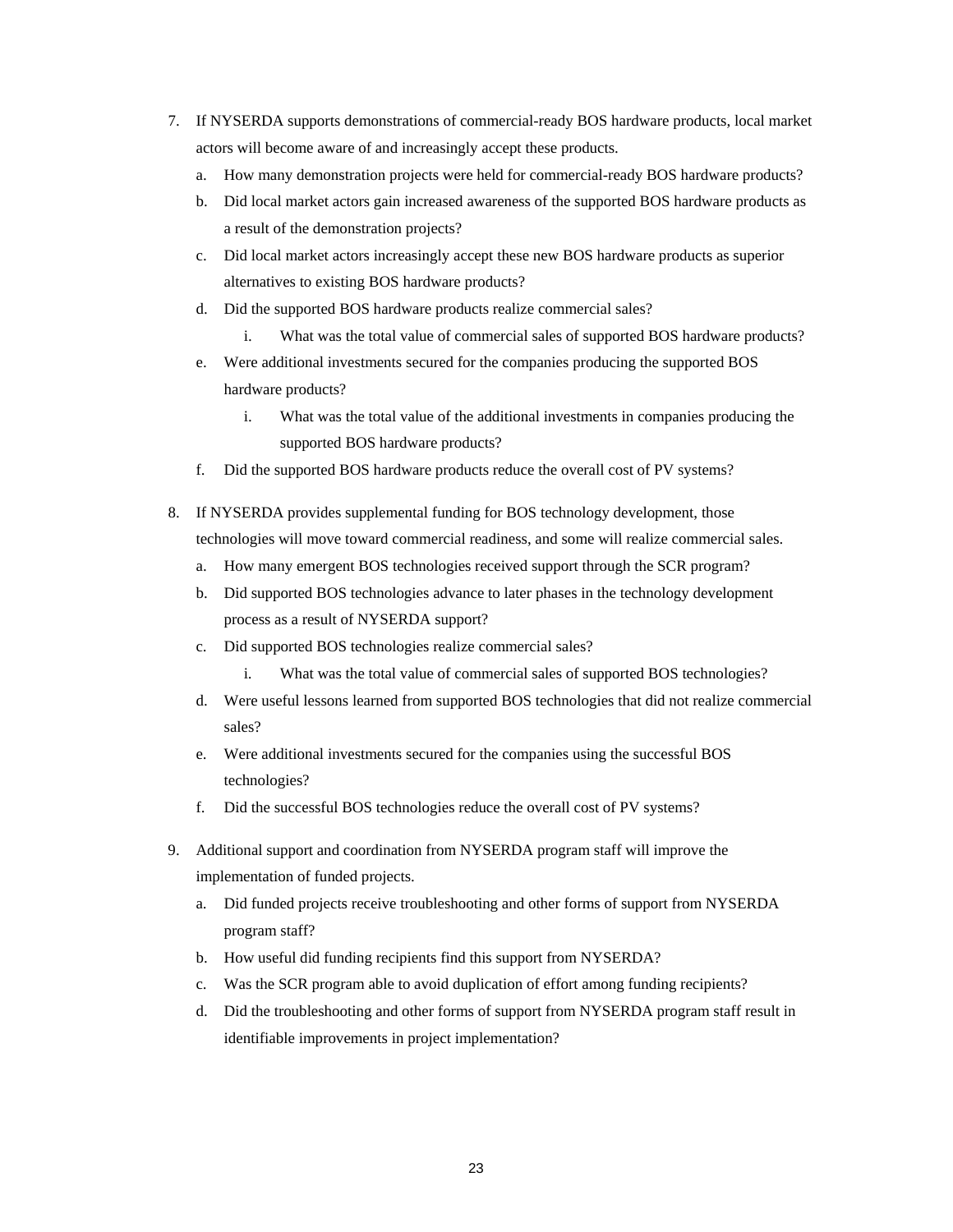- 7. If NYSERDA supports demonstrations of commercial-ready BOS hardware products, local market actors will become aware of and increasingly accept these products.
	- How many demonstration projects were held for commercial-ready BOS hardware products?
	- a result of the demonstration projects? a. How many demonstration projects were held for commercial-ready BOS hardware products? b. Did local market actors gain increased awareness of the supported BOS hardware products as
	- c. Did local market actors increasingly accept these new BOS hardware products as superior alternatives to existing BOS hardware products?
	- d. Did the supported BOS hardware products realize commercial sales?
		- i. What was the total value of commercial sales of supported BOS hardware products?
	- e. Were additional investments secured for the companies producing the supported BOS hardware products?
		- i. What was the total value of the additional investments in companies producing the supported BOS hardware products?
	- f. Did the supported BOS hardware products reduce the overall cost of PV systems?
- 8. If NYSERDA provides supplemental funding for BOS technology development, those technologies will move toward commercial readiness, and some will realize commercial sales.
	- a. How many emergent BOS technologies received support through the SCR program?
	- b. Did supported BOS technologies advance to later phases in the technology development process as a result of NYSERDA support?
	- c. Did supported BOS technologies realize commercial sales?
		-
	- i. What was the total value of commercial sales of supported BOS technologies?<br>d. Were useful lessons learned from supported BOS technologies that did not realize commercial sales?
	- e. Were additional investments secured for the companies using the successful BOS technologies?
	- f. Did the successful BOS technologies reduce the overall cost of PV systems?
- 9. Additional support and coordination from NYSERDA program staff will improve the implementation of funded projects.
	- a. Did funded projects receive troubleshooting and other forms of support from NYSERDA program staff?
	- b. How useful did funding recipients find this support from NYSERDA?
	- c. Was the SCR program able to avoid duplication of effort among funding recipients?
	- identifiable improvements in project implementation? d. Did the troubleshooting and other forms of support from NYSERDA program staff result in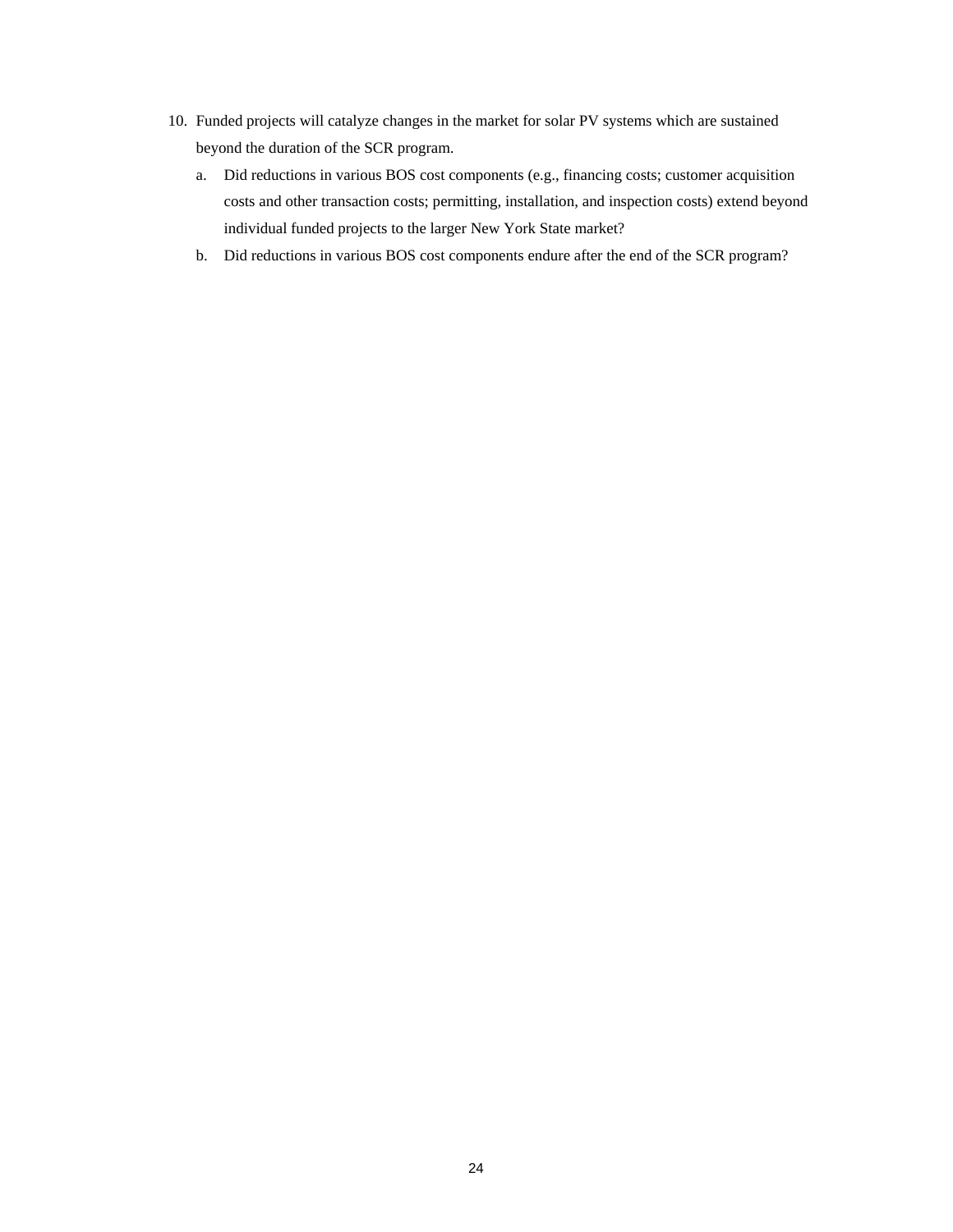- beyond the duration of the SCR program. 10. Funded projects will catalyze changes in the market for solar PV systems which are sustained
	- costs and other transaction costs; permitting, installation, and inspection costs) extend beyond a. Did reductions in various BOS cost components (e.g., financing costs; customer acquisition individual funded projects to the larger New York State market?
	- b. Did reductions in various BOS cost components endure after the end of the SCR program?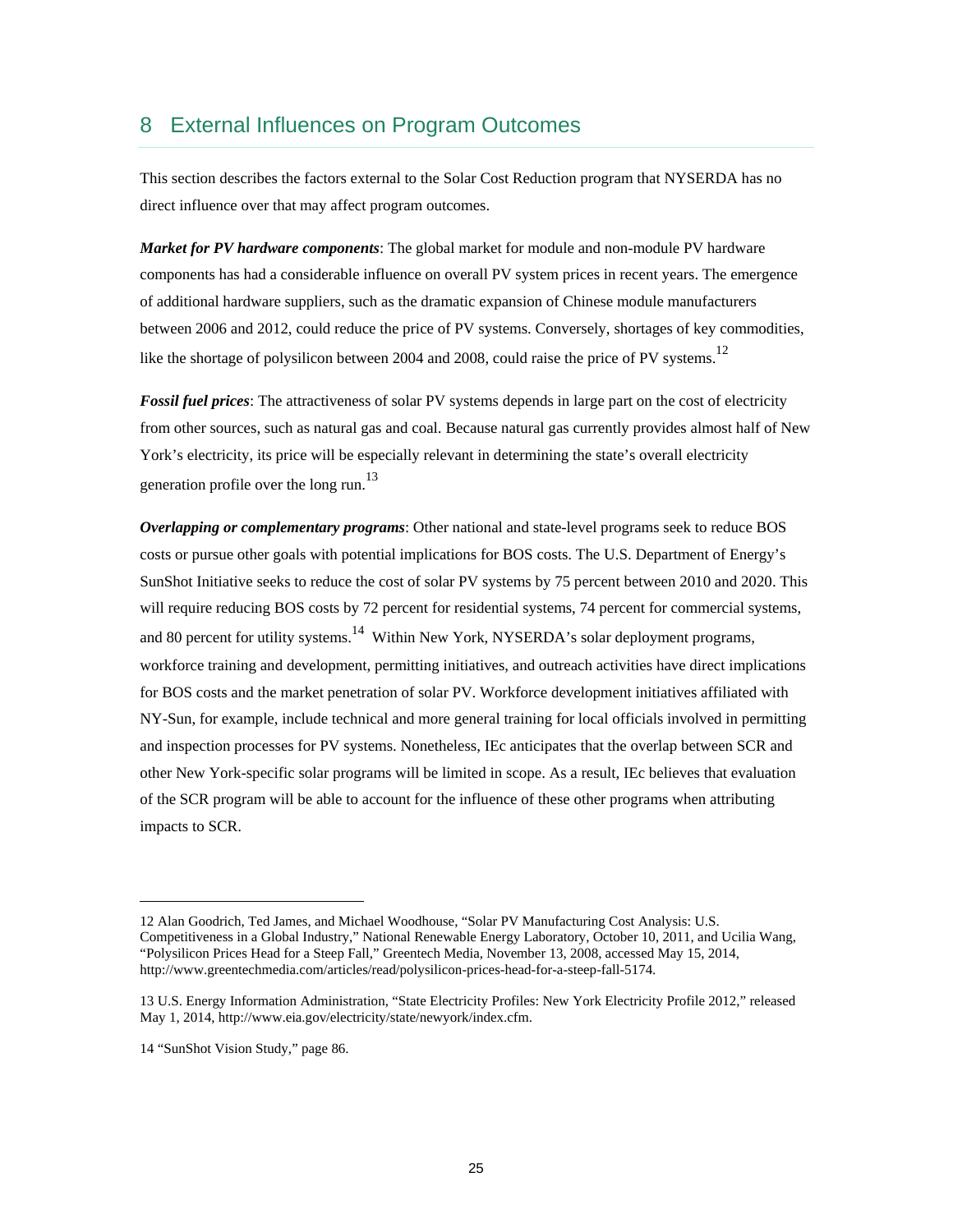## 8 External Influences on Program Outcomes

 This section describes the factors external to the Solar Cost Reduction program that NYSERDA has no direct influence over that may affect program outcomes.

like the shortage of polysilicon between 2004 and 2008, could raise the price of PV systems.<sup>12</sup> *Market for PV hardware components*: The global market for module and non-module PV hardware components has had a considerable influence on overall PV system prices in recent years. The emergence of additional hardware suppliers, such as the dramatic expansion of Chinese module manufacturers between 2006 and 2012, could reduce the price of PV systems. Conversely, shortages of key commodities,

*Fossil fuel prices*: The attractiveness of solar PV systems depends in large part on the cost of electricity from other sources, such as natural gas and coal. Because natural gas currently provides almost half of New York's electricity, its price will be especially relevant in determining the state's overall electricity generation profile over the long run.<sup>13</sup>

 *Overlapping or complementary programs*: Other national and state-level programs seek to reduce BOS for BOS costs and the market penetration of solar PV. Workforce development initiatives affiliated with costs or pursue other goals with potential implications for BOS costs. The U.S. Department of Energy's SunShot Initiative seeks to reduce the cost of solar PV systems by 75 percent between 2010 and 2020. This will require reducing BOS costs by 72 percent for residential systems, 74 percent for commercial systems, and 80 percent for utility systems.<sup>14</sup> Within New York, NYSERDA's solar deployment programs, workforce training and development, permitting initiatives, and outreach activities have direct implications NY-Sun, for example, include technical and more general training for local officials involved in permitting and inspection processes for PV systems. Nonetheless, IEc anticipates that the overlap between SCR and other New York-specific solar programs will be limited in scope. As a result, IEc believes that evaluation of the SCR program will be able to account for the influence of these other programs when attributing impacts to SCR.

14 "SunShot Vision Study," page 86.

<sup>12</sup> Alan Goodrich, Ted James, and Michael Woodhouse, "Solar PV Manufacturing Cost Analysis: U.S. Competitiveness in a Global Industry," National Renewable Energy Laboratory, October 10, 2011, and Ucilia Wang, "Polysilicon Prices Head for a Steep Fall," Greentech Media, November 13, 2008, accessed May 15, 2014, http://www.greentechmedia.com/articles/read/polysilicon-prices-head-for-a-steep-fall-5174.

<sup>13</sup> U.S. Energy Information Administration, "State Electricity Profiles: New York Electricity Profile 2012," released May 1, 2014, http://www.eia.gov/electricity/state/newyork/index.cfm.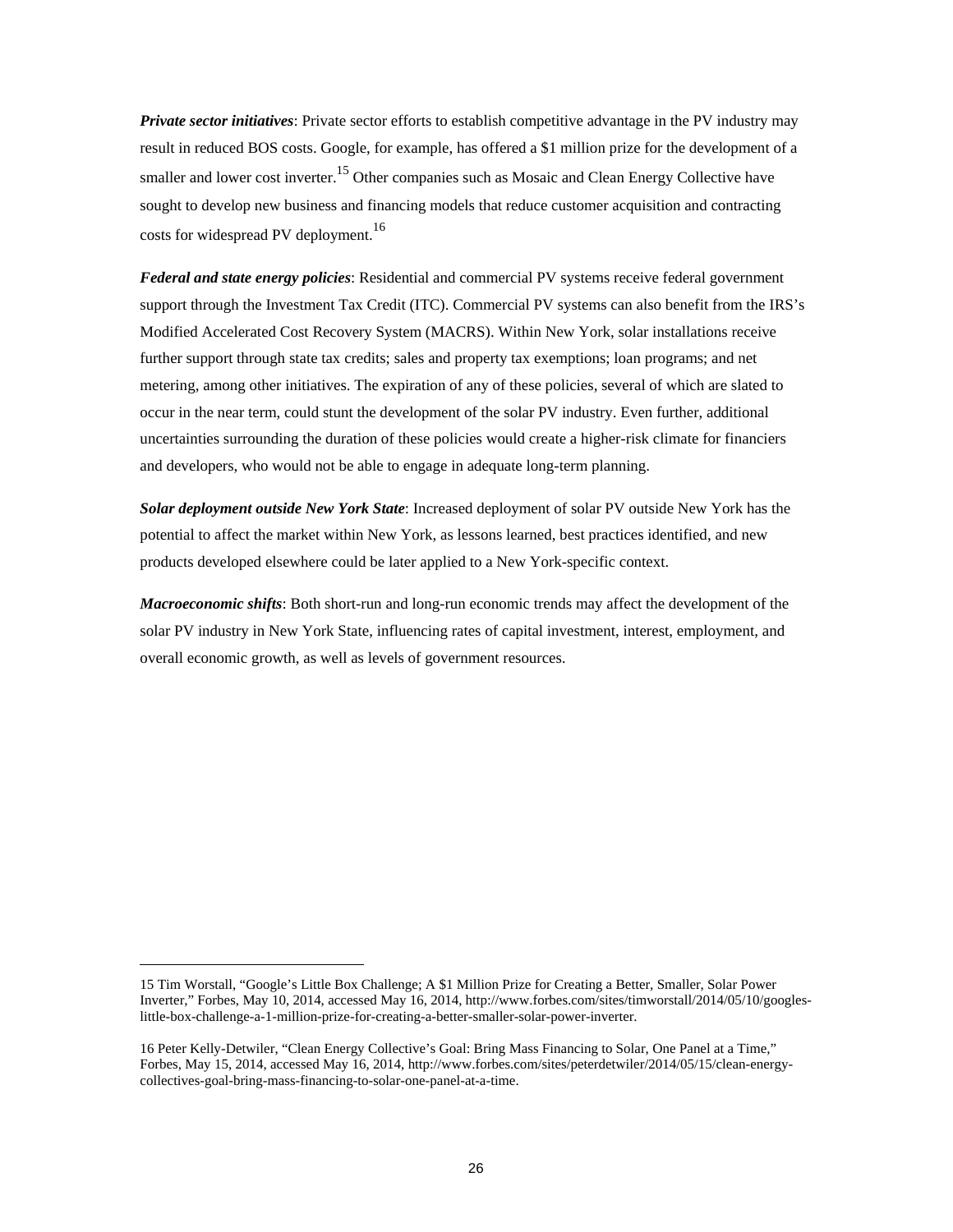*Private sector initiatives*: Private sector efforts to establish competitive advantage in the PV industry may result in reduced BOS costs. Google, for example, has offered a \$1 million prize for the development of a smaller and lower cost inverter.<sup>15</sup> Other companies such as Mosaic and Clean Energy Collective have sought to develop new business and financing models that reduce customer acquisition and contracting costs for widespread PV deployment.<sup>16</sup>

 metering, among other initiatives. The expiration of any of these policies, several of which are slated to *Federal and state energy policies*: Residential and commercial PV systems receive federal government support through the Investment Tax Credit (ITC). Commercial PV systems can also benefit from the IRS's Modified Accelerated Cost Recovery System (MACRS). Within New York, solar installations receive further support through state tax credits; sales and property tax exemptions; loan programs; and net occur in the near term, could stunt the development of the solar PV industry. Even further, additional uncertainties surrounding the duration of these policies would create a higher-risk climate for financiers and developers, who would not be able to engage in adequate long-term planning.

 *Solar deployment outside New York State*: Increased deployment of solar PV outside New York has the potential to affect the market within New York, as lessons learned, best practices identified, and new products developed elsewhere could be later applied to a New York-specific context.

*Macroeconomic shifts*: Both short-run and long-run economic trends may affect the development of the solar PV industry in New York State, influencing rates of capital investment, interest, employment, and overall economic growth, as well as levels of government resources.

<sup>15</sup> Tim Worstall, "Google's Little Box Challenge; A \$1 Million Prize for Creating a Better, Smaller, Solar Power Inverter," Forbes, May 10, 2014, accessed May 16, 2014, http://www.forbes.com/sites/timworstall/2014/05/10/googleslittle-box-challenge-a-1-million-prize-for-creating-a-better-smaller-solar-power-inverter.

<sup>16</sup> Peter Kelly-Detwiler, "Clean Energy Collective's Goal: Bring Mass Financing to Solar, One Panel at a Time," Forbes, May 15, 2014, accessed May 16, 2014, http://www.forbes.com/sites/peterdetwiler/2014/05/15/clean-energycollectives-goal-bring-mass-financing-to-solar-one-panel-at-a-time.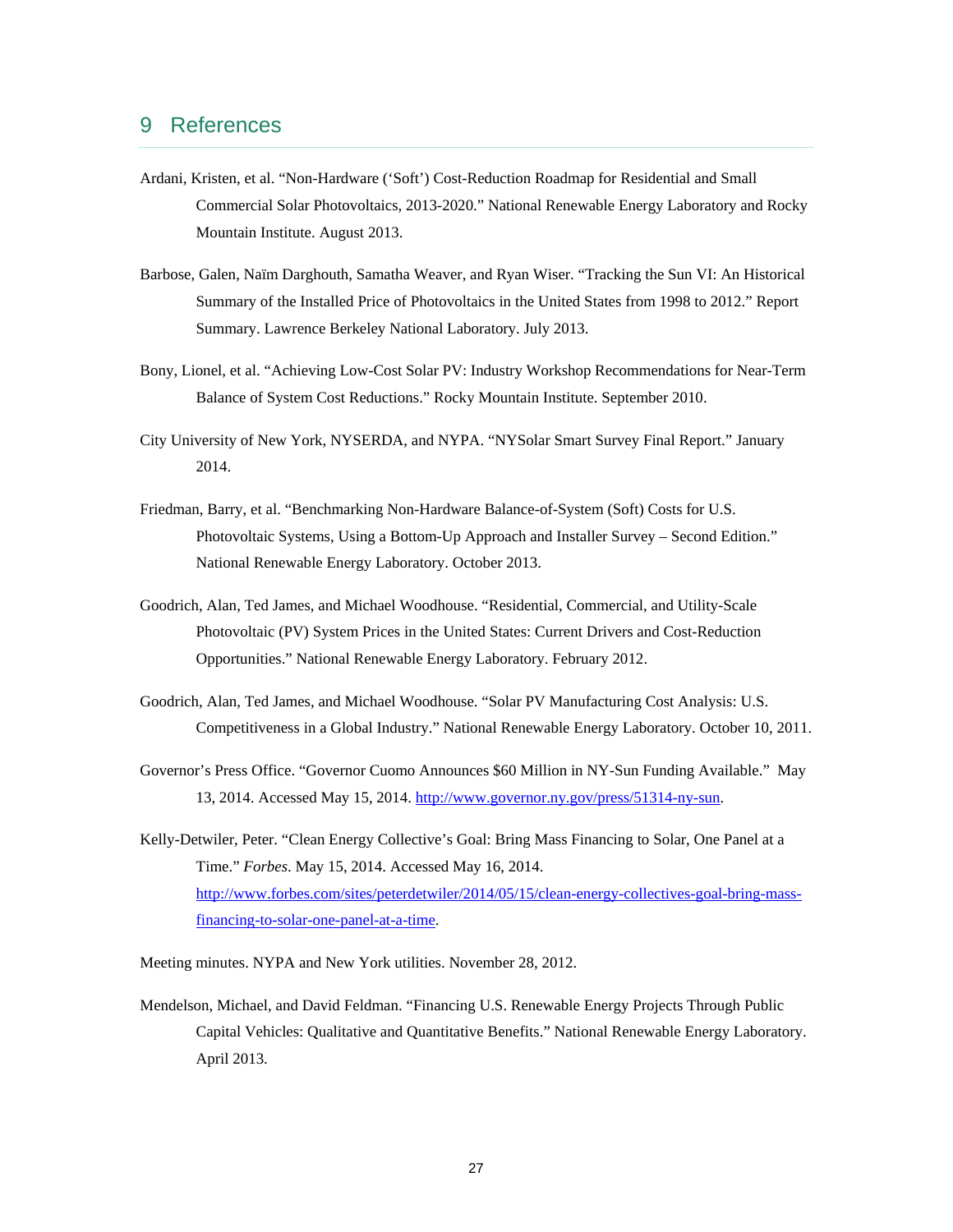## 9 References

- Ardani, Kristen, et al. "Non-Hardware ('Soft') Cost-Reduction Roadmap for Residential and Small Commercial Solar Photovoltaics, 2013-2020." National Renewable Energy Laboratory and Rocky Mountain Institute. August 2013.
- Barbose, Galen, Naïm Darghouth, Samatha Weaver, and Ryan Wiser. "Tracking the Sun VI: An Historical Summary of the Installed Price of Photovoltaics in the United States from 1998 to 2012." Report Summary. Lawrence Berkeley National Laboratory. July 2013.
- Bony, Lionel, et al. "Achieving Low-Cost Solar PV: Industry Workshop Recommendations for Near-Term Balance of System Cost Reductions." Rocky Mountain Institute. September 2010.
- City University of New York, NYSERDA, and NYPA. "NYSolar Smart Survey Final Report." January 2014.
- Friedman, Barry, et al. "Benchmarking Non-Hardware Balance-of-System (Soft) Costs for U.S. Photovoltaic Systems, Using a Bottom-Up Approach and Installer Survey – Second Edition." National Renewable Energy Laboratory. October 2013.
- Goodrich, Alan, Ted James, and Michael Woodhouse. "Residential, Commercial, and Utility-Scale Photovoltaic (PV) System Prices in the United States: Current Drivers and Cost-Reduction Opportunities." National Renewable Energy Laboratory. February 2012.
- Goodrich, Alan, Ted James, and Michael Woodhouse. "Solar PV Manufacturing Cost Analysis: U.S. Competitiveness in a Global Industry." National Renewable Energy Laboratory. October 10, 2011.
- Governor's Press Office. "Governor Cuomo Announces \$60 Million in NY-Sun Funding Available." May 13, 2014. Accessed May 15, 2014. http://www.governor.ny.gov/press/51314-ny-sun.
- Kelly-Detwiler, Peter. "Clean Energy Collective's Goal: Bring Mass Financing to Solar, One Panel at a Time." *Forbes*. May 15, 2014. Accessed May 16, 2014. http://www.forbes.com/sites/peterdetwiler/2014/05/15/clean-energy-collectives-goal-bring-massfinancing-to-solar-one-panel-at-a-time.
- Meeting minutes. NYPA and New York utilities. November 28, 2012.
- Mendelson, Michael, and David Feldman. "Financing U.S. Renewable Energy Projects Through Public Capital Vehicles: Qualitative and Quantitative Benefits." National Renewable Energy Laboratory. April 2013.